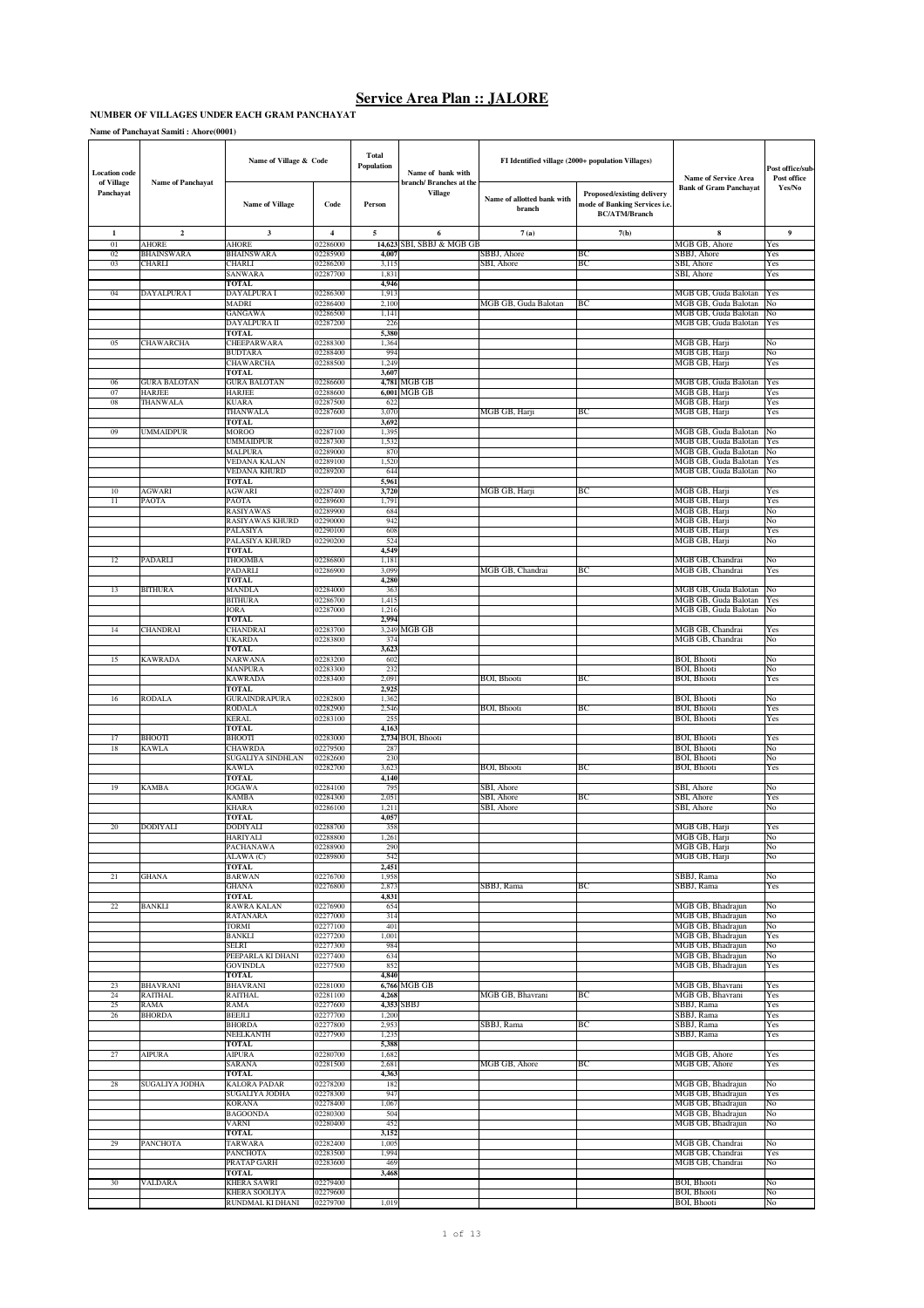#### **NUMBER OF VILLAGES UNDER EACH GRAM PANCHAYAT**

**Name of Panchayat Samiti : Ahore(0001)**

| <b>Location</b> code    |                           | Name of Village & Code                   |                         | Total<br>Population | Name of bank with                        |                                      | FI Identified village (2000+ population Villages)                                   | <b>Name of Service Area</b>                  | Post office/sub-<br>Post office |
|-------------------------|---------------------------|------------------------------------------|-------------------------|---------------------|------------------------------------------|--------------------------------------|-------------------------------------------------------------------------------------|----------------------------------------------|---------------------------------|
| of Village<br>Panchayat | <b>Name of Panchayat</b>  | <b>Name of Village</b>                   | Code                    | Person              | branch/Branches at the<br><b>Village</b> | Name of allotted bank with<br>branch | Proposed/existing delivery<br>mode of Banking Services i.e.<br><b>BC/ATM/Branch</b> | <b>Bank of Gram Panchavat</b>                | Yes/No                          |
| 1                       | $\mathbf{2}$              | 3                                        | $\overline{\mathbf{4}}$ | 5                   | 6                                        | 7(a)                                 | 7(b)                                                                                | 8                                            | 9                               |
| 01<br>02                | AHORE<br>BHAINSWARA       | <b>AHORE</b><br>BHAINSWARA               | )2286000<br>02285900    | 14,623<br>4,007     | SBI, SBBJ & MGB GB                       | SBBJ, Ahore                          | BС                                                                                  | MGB GB, Ahore<br>SBBJ, Ahore                 | Yes<br>Yes                      |
| 03                      | CHARLI                    | <b>CHARLI</b>                            | 02286200                | 3,115               |                                          | SBI, Ahore                           | ВC                                                                                  | SBI, Ahore                                   | Yes                             |
|                         |                           | SANWARA                                  | 02287700                | 1,831               |                                          |                                      |                                                                                     | SBI, Ahore                                   | Yes                             |
| 04                      | DAYALPURA I               | <b>TOTAL</b><br>DAYALPURA I              | 02286300                | 4,946<br>1,913      |                                          |                                      |                                                                                     | MGB GB, Guda Balotan                         | Yes                             |
|                         |                           | MADRI                                    | 02286400                | 2,100               |                                          | MGB GB, Guda Balotan                 | BС                                                                                  | MGB GB, Guda Balotan                         | No                              |
|                         |                           | <b>GANGAWA</b><br>DAYALPURA II           | )2286500<br>02287200    | 1,141<br>226        |                                          |                                      |                                                                                     | MGB GB, Guda Balotan<br>MGB GB, Guda Balotan | No                              |
|                         |                           | <b>TOTAL</b>                             |                         | 5,380               |                                          |                                      |                                                                                     |                                              | Yes                             |
| 05                      | CHAWARCHA                 | CHEEPARWARA                              | 02288300                | 1,364               |                                          |                                      |                                                                                     | MGB GB, Harji                                | No                              |
|                         |                           | <b>BUDTARA</b><br><b>CHAWARCHA</b>       | 02288400<br>02288500    | 994<br>1,249        |                                          |                                      |                                                                                     | MGB GB, Harji<br>MGB GB, Harji               | No<br>Yes                       |
|                         |                           | TOTAL                                    |                         | 3,607               |                                          |                                      |                                                                                     |                                              |                                 |
| 06                      | <b>GURA BALOTAN</b>       | <b>GURA BALOTAN</b>                      | )2286600                | 4,781               | MGB GB                                   |                                      |                                                                                     | MGB GB, Guda Balotan                         | Yes                             |
| 07<br>08                | HARJEE<br><b>THANWALA</b> | <b>HARJEE</b><br><b>KUARA</b>            | 2288600<br>02287500     | 622                 | 6,001 MGB GB                             |                                      |                                                                                     | MGB GB, Harji<br>MGB GB, Harji               | Yes<br>Yes                      |
|                         |                           | THANWALA                                 | 02287600                | 3,070               |                                          | MGB GB, Harji                        | ВC                                                                                  | MGB GB, Harji                                | Yes                             |
| 09                      | UMMAIDPUR                 | TOTAL<br>MOROO                           | 02287100                | 3,692<br>1,395      |                                          |                                      |                                                                                     | MGB GB, Guda Balotan                         | No                              |
|                         |                           | UMMAIDPUR                                | 02287300                | 1,532               |                                          |                                      |                                                                                     | MGB GB, Guda Balotan                         | Yes                             |
|                         |                           | MALPURA                                  | )2289000                | 870                 |                                          |                                      |                                                                                     | MGB GB, Guda Balotan                         | No                              |
|                         |                           | VEDANA KALAN<br>VEDANA KHURD             | 02289100<br>02289200    | 1,520<br>644        |                                          |                                      |                                                                                     | MGB GB, Guda Balotan<br>MGB GB, Guda Balotan | Yes<br>No                       |
|                         |                           | <b>TOTAL</b>                             |                         | 5,961               |                                          |                                      |                                                                                     |                                              |                                 |
| 10                      | AGWARI                    | <b>AGWARI</b>                            | 02287400                | 3,720               |                                          | MGB GB, Harji                        | BС                                                                                  | MGB GB, Harji                                | Yes                             |
| 11                      | PAOTA                     | PAOTA<br><b>RASIYAWAS</b>                | 02289600<br>02289900    | 1,791<br>684        |                                          |                                      |                                                                                     | MGB GB, Harji<br>MGB GB, Harji               | Yes<br>No                       |
|                         |                           | <b>RASIYAWAS KHURD</b>                   | 02290000                | 942                 |                                          |                                      |                                                                                     | MGB GB, Harji                                | No                              |
|                         |                           | PALASIYA<br>PALASIYA KHURD               | )2290100<br>02290200    | 608<br>524          |                                          |                                      |                                                                                     | MGB GB, Harji<br>MGB GB, Harji               | Yes<br>No                       |
|                         |                           | <b>TOTAL</b>                             |                         | 4,549               |                                          |                                      |                                                                                     |                                              |                                 |
| 12                      | PADARLI                   | THOOMBA                                  | 2286800                 | 1,181               |                                          |                                      |                                                                                     | MGB GB, Chandrai                             | No                              |
|                         |                           | PADARLI<br>TOTAL                         | 02286900                | 3.09<br>4,280       |                                          | MGB GB, Chandrai                     | ВС                                                                                  | MGB GB, Chandrai                             | Yes                             |
| 13                      | BITHURA                   | MANDLA                                   | 02284000                | 36:                 |                                          |                                      |                                                                                     | MGB GB, Guda Balotan                         | No                              |
|                         |                           | <b>BITHURA</b>                           | )2286700                | 1,415               |                                          |                                      |                                                                                     | MGB GB, Guda Balotan                         | Yes                             |
|                         |                           | JORA<br>TOTAL                            | 02287000                | 1,216<br>2,994      |                                          |                                      |                                                                                     | MGB GB, Guda Balotan                         | No                              |
| 14                      | CHANDRAI                  | CHANDRAI                                 | 02283700                |                     | 3,249 MGB GB                             |                                      |                                                                                     | MGB GB, Chandrai                             | Yes                             |
|                         |                           | <b>UKARDA</b><br><b>TOTAL</b>            | 02283800                | 374                 |                                          |                                      |                                                                                     | MGB GB, Chandrai                             | No                              |
| 15                      | KAWRADA                   | <b>NARWANA</b>                           | 02283200                | 3,623<br>602        |                                          |                                      |                                                                                     | <b>BOI, Bhooti</b>                           | No                              |
|                         |                           | <b>MANPURA</b>                           | 02283300                | 232                 |                                          |                                      |                                                                                     | <b>BOI, Bhooti</b>                           | No                              |
|                         |                           | <b>KAWRADA</b><br><b>TOTAL</b>           | 02283400                | 2,091<br>2,925      |                                          | <b>BOI</b> , Bhooti                  | BC                                                                                  | <b>BOI</b> , Bhooti                          | Yes                             |
| 16                      | RODALA                    | <b>GURAINDRAPURA</b>                     | 02282800                | 1,362               |                                          |                                      |                                                                                     | <b>BOI</b> , Bhooti                          | No                              |
|                         |                           | RODALA                                   | 02282900                | 2.546               |                                          | <b>BOI</b> , Bhooti                  | ВC                                                                                  | <b>BOI</b> , Bhooti                          | Yes                             |
|                         |                           | KERAL<br>TOTAL                           | 02283100                | 25:<br>4,163        |                                          |                                      |                                                                                     | <b>BOI</b> , Bhooti                          | Yes                             |
| 17                      | <b>BHOOTI</b>             | <b>BHOOTI</b>                            | 02283000                |                     | 2,734 BOI, Bhooti                        |                                      |                                                                                     | <b>BOI</b> , Bhooti                          | Yes                             |
| 18                      | KAWLA                     | CHAWRDA<br>SUGALIYA SINDHLAN             | 02279500                | 287                 |                                          |                                      |                                                                                     | <b>BOI</b> , Bhooti                          | No                              |
|                         |                           | <b>KAWLA</b>                             | 02282600<br>02282700    | 230<br>3,62         |                                          | <b>BOI, Bhooti</b>                   | BС                                                                                  | <b>BOI</b> , Bhooti<br><b>BOI</b> . Bhooti   | No<br>Yes                       |
|                         |                           | <b>TOTAL</b>                             |                         | 4,140               |                                          |                                      |                                                                                     |                                              |                                 |
| 19                      | KAMBA                     | JOGAWA<br>KAMBA                          | 02284100<br>02284300    | 795<br>2,05         |                                          | SBI, Ahore<br>SBI, Ahore             | ВC                                                                                  | SBI, Ahore<br>SBI, Ahore                     | No<br>Yes                       |
|                         |                           | <b>KHARA</b>                             | )2286100                | 1,211               |                                          | SBI, Ahore                           |                                                                                     | SBI, Ahore                                   | No                              |
|                         |                           | <b>TOTAL</b>                             |                         | 4,057               |                                          |                                      |                                                                                     |                                              |                                 |
| 20                      | DODIYALI                  | <b>DODIYALI</b><br><b>HARIYALI</b>       | 02288700<br>02288800    | 358<br>,261         |                                          |                                      |                                                                                     | MGB GB, Harji<br>MGB GB, Harii               | Yes<br>No                       |
|                         |                           | PACHANAWA                                | 02288900                | 290                 |                                          |                                      |                                                                                     | MGB GB, Harji                                | No                              |
|                         |                           | ALAWA (C)                                | 02289800                | 542                 |                                          |                                      |                                                                                     | MGB GB, Harji                                | No                              |
| 21                      | GHANA                     | <b>TOTAL</b><br><b>BARWAN</b>            | 02276700                | 2,451<br>1,958      |                                          |                                      |                                                                                     | SBBJ, Rama                                   | No                              |
|                         |                           | GHANA                                    | 02276800                | 2,873               |                                          | SBBJ, Rama                           | BC                                                                                  | SBBJ, Rama                                   | Yes                             |
|                         |                           | <b>TOTAL</b>                             |                         | 4,831               |                                          |                                      |                                                                                     |                                              |                                 |
| 22                      | <b>BANKLI</b>             | <b>RAWRA KALAN</b><br><b>RATANARA</b>    | 02276900<br>02277000    | 654<br>314          |                                          |                                      |                                                                                     | MGB GB, Bhadrajun<br>MGB GB, Bhadrajun       | No<br>No                        |
|                         |                           | <b>TORMI</b>                             | 02277100                | 401                 |                                          |                                      |                                                                                     | MGB GB, Bhadrajun                            | No                              |
|                         |                           | <b>BANKLI</b><br>SELRI                   | 02277200<br>02277300    | 1,001<br>984        |                                          |                                      |                                                                                     | MGB GB, Bhadrajun<br>MGB GB, Bhadrajun       | Yes<br>No                       |
|                         |                           | PEEPARLA KI DHANI                        | 02277400                | 634                 |                                          |                                      |                                                                                     | MGB GB, Bhadrajun                            | No                              |
|                         |                           | <b>GOVINDLA</b>                          | 02277500                | 852                 |                                          |                                      |                                                                                     | MGB GB, Bhadrajun                            | Yes                             |
| 23                      | <b>BHAVRANI</b>           | <b>TOTAL</b><br><b>BHAVRANI</b>          | 02281000                | 4,840               | 6,766 MGB GB                             |                                      |                                                                                     | MGB GB, Bhavrani                             | Yes                             |
| 24                      | <b>RAITHAL</b>            | <b>RAITHAL</b>                           | 02281100                | 4,268               |                                          | MGB GB, Bhavrani                     | BС                                                                                  | MGB GB, Bhavrani                             | Yes                             |
| 25<br>26                | RAMA<br>BHORDA            | RAMA<br><b>BEEJLI</b>                    | 02277600<br>02277700    |                     | 4,353 SBBJ                               |                                      |                                                                                     | SBBJ, Rama<br>SBBJ, Rama                     | Yes<br>Yes                      |
|                         |                           | <b>BHORDA</b>                            | 02277800                | 1,200<br>2,953      |                                          | SBBJ, Rama                           | BС                                                                                  | SBBJ, Rama                                   | Yes                             |
|                         |                           | NEELKANTH                                | 02277900                | 1,235               |                                          |                                      |                                                                                     | SBBJ, Rama                                   | Yes                             |
| 27                      | AIPURA                    | <b>TOTAL</b><br><b>AIPURA</b>            | 02280700                | 5,388<br>1,682      |                                          |                                      |                                                                                     | MGB GB, Ahore                                | Yes                             |
|                         |                           | SARANA                                   | 02281500                | 2,681               |                                          | MGB GB, Ahore                        | BС                                                                                  | MGB GB, Ahore                                | Yes                             |
|                         |                           | <b>TOTAL</b>                             |                         | 4,363               |                                          |                                      |                                                                                     |                                              |                                 |
| 28                      | SUGALIYA JODHA            | KALORA PADAR<br>SUGALIYA JODHA           | 02278200<br>02278300    | 182<br>947          |                                          |                                      |                                                                                     | MGB GB, Bhadrajun<br>MGB GB, Bhadrajun       | No<br>Yes                       |
|                         |                           | <b>KORANA</b>                            | 02278400                | 1,067               |                                          |                                      |                                                                                     | MGB GB, Bhadrajun                            | No                              |
|                         |                           | <b>BAGOONDA</b>                          | 02280300                | 504                 |                                          |                                      |                                                                                     | MGB GB, Bhadrajun                            | No                              |
|                         |                           | <b>VARNI</b><br><b>TOTAL</b>             | 02280400                | 452<br>3,152        |                                          |                                      |                                                                                     | MGB GB, Bhadrajun                            | No                              |
| 29                      | PANCHOTA                  | TARWARA                                  | 02282400                | 1,005               |                                          |                                      |                                                                                     | MGB GB, Chandrai                             | No                              |
|                         |                           | <b>PANCHOTA</b>                          | 02283500                | 1,994<br>469        |                                          |                                      |                                                                                     | MGB GB, Chandrai<br>MGB GB, Chandrai         | Yes                             |
|                         |                           | PRATAP GARH<br><b>TOTAL</b>              | 02283600                | 3,468               |                                          |                                      |                                                                                     |                                              | No                              |
| 30                      | VALDARA                   | <b>KHERA SAWRI</b>                       | 02279400                |                     |                                          |                                      |                                                                                     | <b>BOI</b> , Bhooti                          | No                              |
|                         |                           | <b>KHERA SOOLIYA</b><br>RUNDMAL KI DHANI | 02279600<br>02279700    | 1,019               |                                          |                                      |                                                                                     | <b>BOI</b> , Bhooti<br><b>BOI, Bhooti</b>    | No<br>No                        |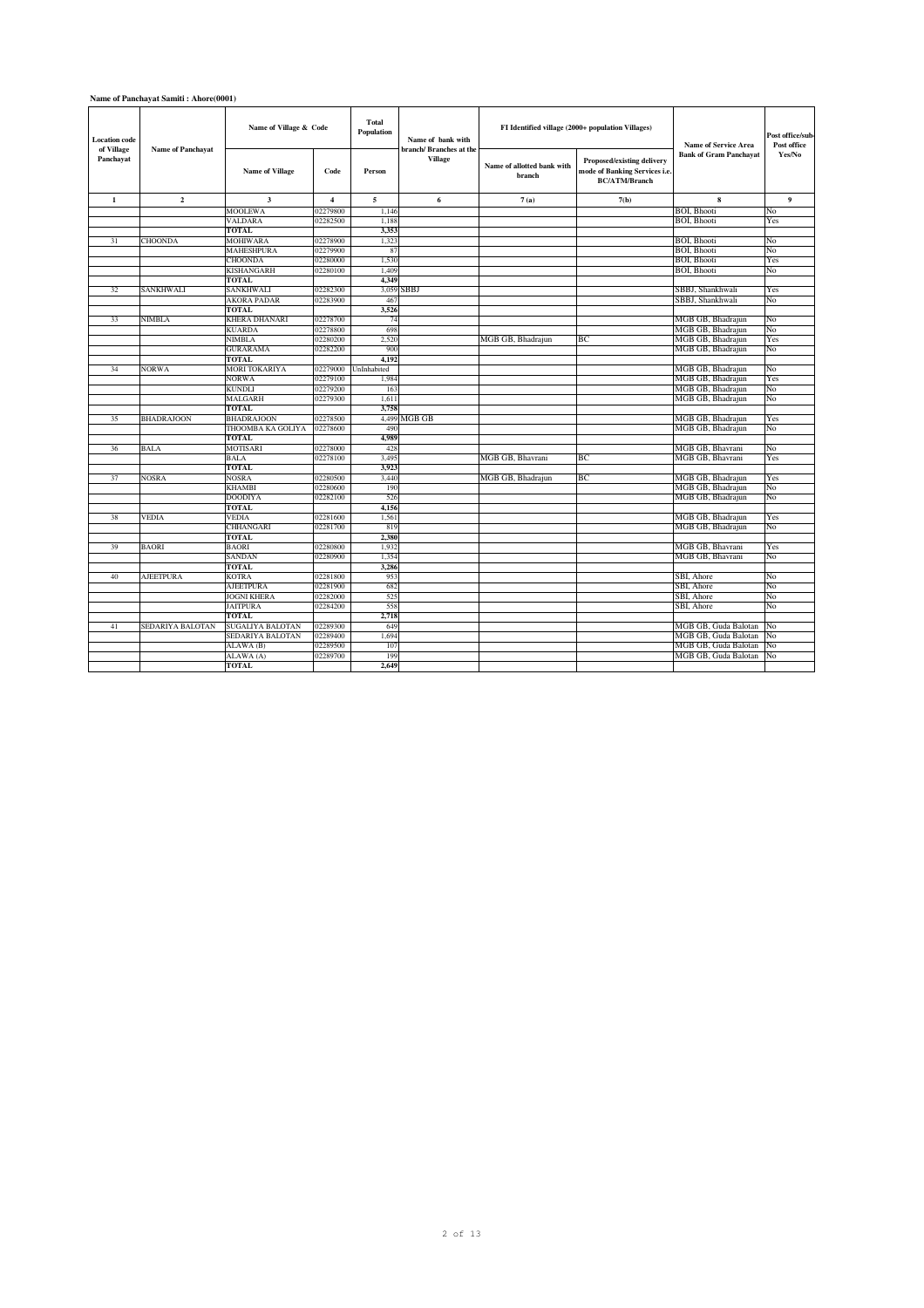## **Name of Panchayat Samiti : Ahore(0001)**

| <b>Location</b> code<br>of Village<br>Panchayat | <b>Name of Panchayat</b> | Name of Village & Code<br><b>Name of Village</b> | Code           | <b>Total</b><br>Population<br>Person | Name of bank with<br>branch/Branches at the<br><b>Village</b> | Name of allotted bank with<br>branch | FI Identified village (2000+ population Villages)<br>Proposed/existing delivery<br>mode of Banking Services i.e<br><b>BC/ATM/Branch</b> | <b>Name of Service Area</b><br><b>Bank of Gram Panchayat</b> | Post office/sub-<br>Post office<br>Yes/No |
|-------------------------------------------------|--------------------------|--------------------------------------------------|----------------|--------------------------------------|---------------------------------------------------------------|--------------------------------------|-----------------------------------------------------------------------------------------------------------------------------------------|--------------------------------------------------------------|-------------------------------------------|
| 1                                               | $\overline{2}$           | $\overline{\mathbf{3}}$                          | $\overline{4}$ | 5                                    | 6                                                             | 7(a)                                 | 7(b)                                                                                                                                    | $\bf{8}$                                                     | $\mathbf{9}$                              |
|                                                 |                          | MOOLEWA                                          | 02279800       | 1,146                                |                                                               |                                      |                                                                                                                                         | <b>BOI, Bhooti</b>                                           | No                                        |
|                                                 |                          | VALDARA                                          | 02282500       | 1.188                                |                                                               |                                      |                                                                                                                                         | <b>BOI</b> . Bhooti                                          | Yes                                       |
|                                                 |                          | <b>TOTAL</b>                                     |                | 3.353                                |                                                               |                                      |                                                                                                                                         |                                                              |                                           |
| 31                                              | <b>CHOONDA</b>           | MOHIWARA                                         | 02278900       | 1.323                                |                                                               |                                      |                                                                                                                                         | <b>BOI</b> . Bhooti                                          | No                                        |
|                                                 |                          | MAHESHPURA                                       | 02279900       | 87                                   |                                                               |                                      |                                                                                                                                         | <b>BOI, Bhooti</b>                                           | No                                        |
|                                                 |                          | <b>CHOONDA</b>                                   | 02280000       | 1,530                                |                                                               |                                      |                                                                                                                                         | <b>BOI, Bhooti</b>                                           | Yes                                       |
|                                                 |                          | KISHANGARH                                       | 02280100       | 1.409                                |                                                               |                                      |                                                                                                                                         | <b>BOI</b> . Bhooti                                          | No                                        |
|                                                 |                          | <b>TOTAL</b>                                     |                | 4.349                                |                                                               |                                      |                                                                                                                                         |                                                              |                                           |
| 32                                              | SANKHWALI                | SANKHWALI                                        | 02282300       | 3,059                                | SBBJ                                                          |                                      |                                                                                                                                         | SBBJ, Shankhwali                                             | Yes                                       |
|                                                 |                          | <b>AKORA PADAR</b>                               | 02283900       | 467                                  |                                                               |                                      |                                                                                                                                         | SBBJ, Shankhwali                                             | No                                        |
|                                                 |                          | <b>TOTAL</b>                                     |                | 3.526                                |                                                               |                                      |                                                                                                                                         |                                                              |                                           |
| 33                                              | NIMBLA                   | KHERA DHANARI                                    | 02278700       | 74                                   |                                                               |                                      |                                                                                                                                         | MGB GB, Bhadraiun                                            | No                                        |
|                                                 |                          | <b>KUARDA</b>                                    | 02278800       | 698                                  |                                                               |                                      |                                                                                                                                         | MGB GB, Bhadrajun                                            | No                                        |
|                                                 |                          | NIMBLA                                           | 02280200       | 2,520                                |                                                               | MGB GB, Bhadrajun                    | BC                                                                                                                                      | MGB GB, Bhadrajun                                            | Yes                                       |
|                                                 |                          | GURARAMA                                         | 02282200       | 900                                  |                                                               |                                      |                                                                                                                                         | MGB GB, Bhadrajun                                            | No                                        |
|                                                 |                          | <b>TOTAL</b>                                     |                | 4,192                                |                                                               |                                      |                                                                                                                                         |                                                              |                                           |
| 34                                              | <b>NORWA</b>             | <b>MORI TOKARIYA</b>                             | 02279000       | UnInhabited                          |                                                               |                                      |                                                                                                                                         | MGB GB, Bhadrajun                                            | No                                        |
|                                                 |                          | <b>NORWA</b>                                     | 02279100       | 1.984                                |                                                               |                                      |                                                                                                                                         | MGB GB, Bhadraiun                                            | Yes                                       |
|                                                 |                          | KUNDLI                                           | 02279200       | 163                                  |                                                               |                                      |                                                                                                                                         | MGB GB, Bhadrajun                                            | No                                        |
|                                                 |                          | MALGARH                                          | 02279300       | 1,611                                |                                                               |                                      |                                                                                                                                         | MGB GB, Bhadrajun                                            | No                                        |
|                                                 |                          | <b>TOTAL</b>                                     |                | 3,758                                |                                                               |                                      |                                                                                                                                         |                                                              |                                           |
| 35                                              | <b>BHADRAJOON</b>        | <b>BHADRAJOON</b>                                | 02278500       |                                      | 4,499 MGB GB                                                  |                                      |                                                                                                                                         | MGB GB, Bhadrajun                                            | Yes                                       |
|                                                 |                          | THOOMBA KA GOLIYA                                | 02278600       | 490                                  |                                                               |                                      |                                                                                                                                         | MGB GB, Bhadrajun                                            | No                                        |
|                                                 |                          | <b>TOTAL</b>                                     |                | 4.989                                |                                                               |                                      |                                                                                                                                         |                                                              |                                           |
| 36                                              | BALA                     | MOTISARI                                         | 02278000       | 428                                  |                                                               |                                      |                                                                                                                                         | MGB GB, Bhavrani                                             | No                                        |
|                                                 |                          | <b>BALA</b>                                      | 02278100       | 3,495                                |                                                               | MGB GB. Bhavrani                     | ВC                                                                                                                                      | MGB GB, Bhavrani                                             | Yes                                       |
|                                                 |                          | <b>TOTAL</b>                                     |                | 3.923                                |                                                               |                                      |                                                                                                                                         |                                                              |                                           |
| 37                                              | NOSRA                    | NOSRA                                            | 02280500       | 3,440                                |                                                               | MGB GB, Bhadrajun                    | BС                                                                                                                                      | MGB GB, Bhadrajun                                            | Yes                                       |
|                                                 |                          | KHAMBI                                           | 02280600       | 190                                  |                                                               |                                      |                                                                                                                                         | MGB GB, Bhadrajun                                            | No                                        |
|                                                 |                          | DOODIYA                                          | 02282100       | 526                                  |                                                               |                                      |                                                                                                                                         | MGB GB, Bhadrajun                                            | No                                        |
|                                                 |                          | <b>TOTAL</b>                                     |                | 4,156                                |                                                               |                                      |                                                                                                                                         |                                                              |                                           |
| 38                                              | VEDIA                    | VEDIA                                            | 02281600       | 1,561                                |                                                               |                                      |                                                                                                                                         | MGB GB, Bhadrajun                                            | Yes                                       |
|                                                 |                          | CHHANGARI                                        | 02281700       | 819                                  |                                                               |                                      |                                                                                                                                         | MGB GB, Bhadrajun                                            | No                                        |
|                                                 |                          | <b>TOTAL</b>                                     |                | 2.380                                |                                                               |                                      |                                                                                                                                         |                                                              |                                           |
| 39                                              | <b>BAORI</b>             | <b>BAORI</b>                                     | 02280800       | 1,932                                |                                                               |                                      |                                                                                                                                         | MGB GB, Bhavrani                                             | Yes                                       |
|                                                 |                          | SANDAN                                           | 02280900       | 1,354                                |                                                               |                                      |                                                                                                                                         | MGB GB, Bhavrani                                             | No                                        |
|                                                 |                          | <b>TOTAL</b>                                     |                | 3.286                                |                                                               |                                      |                                                                                                                                         |                                                              |                                           |
| 40                                              | <b>AJEETPURA</b>         | KOTRA                                            | 02281800       | 953                                  |                                                               |                                      |                                                                                                                                         | SBI, Ahore                                                   | No                                        |
|                                                 |                          | <b>AJEETPURA</b>                                 | 02281900       | 682                                  |                                                               |                                      |                                                                                                                                         | SBI. Ahore                                                   | No                                        |
|                                                 |                          | <b>JOGNI KHERA</b>                               | 02282000       | 525                                  |                                                               |                                      |                                                                                                                                         | SBI, Ahore                                                   | No                                        |
|                                                 |                          | <b>JAITPURA</b>                                  | 02284200       | 558                                  |                                                               |                                      |                                                                                                                                         | SBI, Ahore                                                   | No                                        |
|                                                 |                          | <b>TOTAL</b>                                     |                | 2.718                                |                                                               |                                      |                                                                                                                                         |                                                              |                                           |
| 41                                              | SEDARIYA BALOTAN         | <b>SUGALIYA BALOTAN</b>                          | 02289300       | 649                                  |                                                               |                                      |                                                                                                                                         | MGB GB, Guda Balotan                                         | No                                        |
|                                                 |                          | SEDARIYA BALOTAN                                 | 02289400       | 1.694                                |                                                               |                                      |                                                                                                                                         | MGB GB, Guda Balotan                                         | No                                        |
|                                                 |                          | ALAWA (B)                                        | 02289500       | 107                                  |                                                               |                                      |                                                                                                                                         | MGB GB, Guda Balotan                                         | No                                        |
|                                                 |                          | ALAWA (A)                                        | 02289700       | 199                                  |                                                               |                                      |                                                                                                                                         | MGB GB, Guda Balotan                                         | No                                        |
|                                                 |                          | <b>TOTAL</b>                                     |                | 2,649                                |                                                               |                                      |                                                                                                                                         |                                                              |                                           |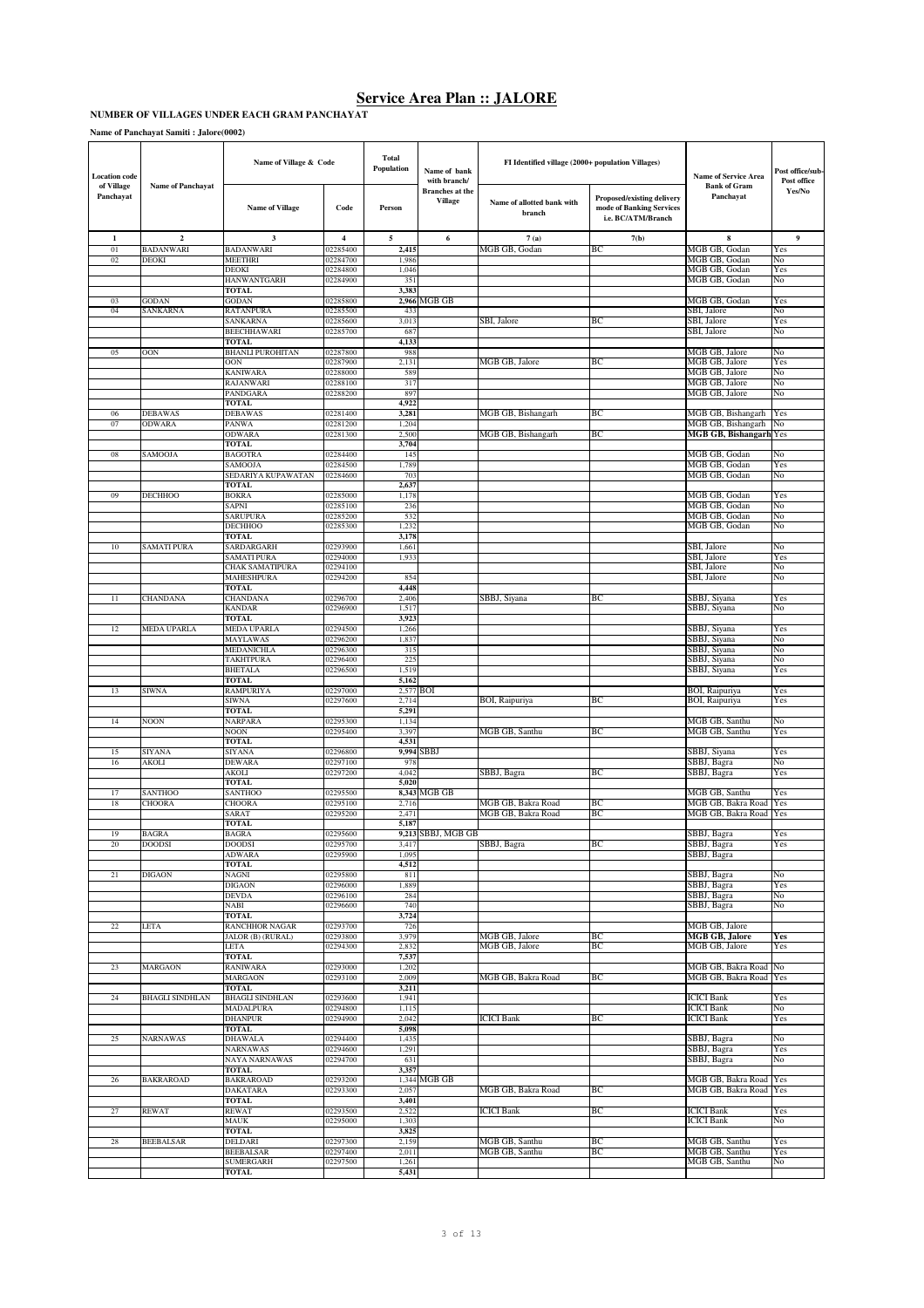### **NUMBER OF VILLAGES UNDER EACH GRAM PANCHAYAT**

**Name of Panchayat Samiti : Jalore(0002)**

| <b>Location</b> code    |                               | Name of Village & Code                     |                      | Total<br>Population | Name of bank<br>with branch/<br><b>Branches</b> at the | FI Identified village (2000+ population Villages) |                                                                              | <b>Name of Service Area</b>              | Post office/sub<br>Post office |
|-------------------------|-------------------------------|--------------------------------------------|----------------------|---------------------|--------------------------------------------------------|---------------------------------------------------|------------------------------------------------------------------------------|------------------------------------------|--------------------------------|
| of Village<br>Panchayat | <b>Name of Panchayat</b>      | <b>Name of Village</b>                     | Code                 | Person              | <b>Village</b>                                         | Name of allotted bank with<br>branch              | Proposed/existing delivery<br>mode of Banking Services<br>i.e. BC/ATM/Branch | <b>Bank of Gram</b><br>Panchayat         | Yes/No                         |
| 1                       | $\mathbf{2}$                  | 3                                          | $\overline{\bf{4}}$  | 5                   | 6                                                      | 7(a)                                              | 7(b)                                                                         | 8                                        | 9                              |
| 01                      | <b>BADANWARI</b>              | <b>BADANWARI</b>                           | 02285400             | 2,415               |                                                        | MGB GB, Godan                                     | BС                                                                           | MGB GB, Godan                            | Yes                            |
| 02                      | <b>DEOKI</b>                  | <b>MEETHRI</b><br><b>DEOKI</b>             | 02284700<br>02284800 | 1,986<br>1,046      |                                                        |                                                   |                                                                              | MGB GB, Godan<br>MGB GB, Godan           | No<br>Yes                      |
|                         |                               | <b>HANWANTGARH</b>                         | 02284900             | 351                 |                                                        |                                                   |                                                                              | MGB GB, Godan                            | No                             |
|                         |                               | <b>TOTAL</b>                               |                      | 3,383               |                                                        |                                                   |                                                                              |                                          |                                |
| 03                      | GODAN                         | GODAN                                      | 02285800<br>02285500 |                     | 2,966 MGB GB                                           |                                                   |                                                                              | MGB GB, Godan                            | Yes                            |
| 04                      | SANKARNA                      | <b>RATANPURA</b><br>SANKARNA               | 02285600             | 433<br>3,013        |                                                        | SBI, Jalore                                       | BС                                                                           | SBI, Jalore<br>SBI, Jalore               | No<br>Yes                      |
|                         |                               | <b>BEECHHAWARI</b>                         | 02285700             | 687                 |                                                        |                                                   |                                                                              | SBI, Jalore                              | No                             |
|                         |                               | <b>TOTAL</b>                               |                      | 4,133               |                                                        |                                                   |                                                                              |                                          |                                |
| 05                      | 00N                           | <b>BHANLI PUROHITAN</b><br><b>OON</b>      | 02287800<br>02287900 | 988<br>2,131        |                                                        | MGB GB, Jalore                                    | BС                                                                           | MGB GB, Jalore<br>MGB GB, Jalore         | No<br>Yes                      |
|                         |                               | <b>KANIWARA</b>                            | 02288000             | 589                 |                                                        |                                                   |                                                                              | MGB GB, Jalore                           | No                             |
|                         |                               | <b>RAJANWARI</b>                           | 02288100             | 317                 |                                                        |                                                   |                                                                              | MGB GB, Jalore                           | No                             |
|                         |                               | PANDGARA                                   | 02288200             | 89                  |                                                        |                                                   |                                                                              | MGB GB, Jalore                           | No                             |
| 06                      | <b>DEBAWAS</b>                | <b>TOTAL</b><br><b>DEBAWAS</b>             | 02281400             | 4,922<br>3,281      |                                                        | MGB GB, Bishangarh                                | BС                                                                           | MGB GB, Bishangarh                       | Yes                            |
| 07                      | <b>ODWARA</b>                 | <b>PANWA</b>                               | 02281200             | 1,204               |                                                        |                                                   |                                                                              | MGB GB, Bishangarh                       | No                             |
|                         |                               | <b>ODWARA</b>                              | 02281300             | 2,500               |                                                        | MGB GB, Bishangarh                                | BC                                                                           | <b>MGB GB, Bishangarh Yes</b>            |                                |
|                         |                               | <b>TOTAL</b>                               |                      | 3,704               |                                                        |                                                   |                                                                              |                                          |                                |
| 08                      | SAMOOJA                       | BAGOTRA<br>SAMOOJA                         | 02284400<br>02284500 | 145<br>1,789        |                                                        |                                                   |                                                                              | MGB GB, Godan<br>MGB GB, Godan           | No<br>Yes                      |
|                         |                               | SEDARIYA KUPAWATAN                         | 02284600             | 703                 |                                                        |                                                   |                                                                              | MGB GB. Godan                            | No                             |
|                         |                               | TOTAL                                      |                      | 2,637               |                                                        |                                                   |                                                                              |                                          |                                |
| 09                      | <b>DECHHOO</b>                | <b>BOKRA</b>                               | 02285000             | 1,178               |                                                        |                                                   |                                                                              | MGB GB, Godan                            | Yes                            |
|                         |                               | SAPNI                                      | 02285100             | 236                 |                                                        |                                                   |                                                                              | MGB GB, Godan                            | No                             |
|                         |                               | <b>SARUPURA</b><br><b>DECHHOO</b>          | 02285200<br>02285300 | 532<br>1,232        |                                                        |                                                   |                                                                              | MGB GB, Godan<br>MGB GB, Godan           | No<br>No                       |
|                         |                               | <b>TOTAL</b>                               |                      | 3,178               |                                                        |                                                   |                                                                              |                                          |                                |
| 10                      | SAMATI PURA                   | SARDARGARH                                 | 02293900             | 1,661               |                                                        |                                                   |                                                                              | SBI, Jalore                              | No                             |
|                         |                               | <b>SAMATI PURA</b>                         | 02294000             | 1,933               |                                                        |                                                   |                                                                              | SBI, Jalore                              | Yes                            |
|                         |                               | CHAK SAMATIPURA<br><b>MAHESHPURA</b>       | 02294100<br>02294200 | 854                 |                                                        |                                                   |                                                                              | SBI, Jalore<br>SBI, Jalore               | No<br>No                       |
|                         |                               | <b>TOTAL</b>                               |                      | 4,448               |                                                        |                                                   |                                                                              |                                          |                                |
| 11                      | CHANDANA                      | CHANDANA                                   | 02296700             | 2,406               |                                                        | SBBJ, Siyana                                      | BС                                                                           | SBBJ, Siyana                             | Yes                            |
|                         |                               | KANDAR                                     | 02296900             | 1,517               |                                                        |                                                   |                                                                              | SBBJ, Siyana                             | No                             |
| 12                      | <b>MEDA UPARLA</b>            | <b>TOTAL</b><br><b>MEDA UPARLA</b>         | 02294500             | 3,923<br>1,266      |                                                        |                                                   |                                                                              | SBBJ, Siyana                             | Yes                            |
|                         |                               | MAYLAWAS                                   | 02296200             | 1,837               |                                                        |                                                   |                                                                              | SBBJ, Siyana                             | No                             |
|                         |                               | MEDANICHLA                                 | 02296300             | 315                 |                                                        |                                                   |                                                                              | SBBJ, Siyana                             | No                             |
|                         |                               | TAKHTPURA                                  | 02296400             | 225                 |                                                        |                                                   |                                                                              | SBBJ, Siyana                             | No                             |
|                         |                               | <b>BHETALA</b><br><b>TOTAL</b>             | 02296500             | 1,519<br>5,162      |                                                        |                                                   |                                                                              | SBBJ, Siyana                             | Yes                            |
| 13                      | <b>SIWNA</b>                  | <b>RAMPURIYA</b>                           | 02297000             | 2,577 BOI           |                                                        |                                                   |                                                                              | BOI, Raipuriya                           | Yes                            |
|                         |                               | SIWNA                                      | 02297600             | 2,714               |                                                        | BOI, Raipuriya                                    | BC                                                                           | BOI, Raipuriya                           | Yes                            |
|                         |                               | TOTAL                                      |                      | 5,291               |                                                        |                                                   |                                                                              |                                          |                                |
| 14                      | NOON                          | NARPARA<br>NOON                            | 02295300<br>02295400 | 1,134<br>3,397      |                                                        | MGB GB, Santhu                                    | BС                                                                           | MGB GB, Santhu<br>MGB GB, Santhu         | No<br>Yes                      |
|                         |                               | <b>TOTAL</b>                               |                      | 4,531               |                                                        |                                                   |                                                                              |                                          |                                |
| 15                      | SIYANA                        | SIYANA                                     | 02296800             |                     | 9,994 SBBJ                                             |                                                   |                                                                              | SBBJ, Siyana                             | Yes                            |
| 16                      | AKOLI                         | <b>DEWARA</b>                              | 02297100             | 978                 |                                                        |                                                   |                                                                              | SBBJ, Bagra                              | No                             |
|                         |                               | AKOLI<br><b>TOTAL</b>                      | 02297200             | 4,042<br>5,020      |                                                        | SBBJ, Bagra                                       | BС                                                                           | SBBJ, Bagra                              | Yes                            |
| 17                      | <b>SANTHOO</b>                | <b>SANTHOO</b>                             | 02295500             |                     | 8,343 MGB GB                                           |                                                   |                                                                              | MGB GB, Santhu                           | Yes                            |
| 18                      | CHOORA                        | CHOORA                                     | 02295100             | 2,716               |                                                        | MGB GB. Bakra Road                                | BС                                                                           | MGB GB, Bakra Road                       | Yes                            |
|                         |                               | SARAT                                      | 02295200             | 2,471               |                                                        | MGB GB, Bakra Road                                | ВC                                                                           | MGB GB, Bakra Road                       | Yes                            |
|                         |                               | TOTAL                                      | 02295600             | 5,187               | 9,213 SBBJ, MGB GB                                     |                                                   |                                                                              |                                          |                                |
| 19<br>20                | <b>BAGRA</b><br><b>DOODSI</b> | <b>BAGRA</b><br><b>DOODSI</b>              | 02295700             | 3,417               |                                                        | SBBJ, Bagra                                       | ВC                                                                           | SBBJ, Bagra<br>SBBJ, Bagra               | Yes<br>Yes                     |
|                         |                               | <b>ADWARA</b>                              | 02295900             | 1,095               |                                                        |                                                   |                                                                              | SBBJ, Bagra                              |                                |
|                         |                               | <b>TOTAL</b>                               |                      | 4,512               |                                                        |                                                   |                                                                              |                                          |                                |
| 21                      | <b>DIGAON</b>                 | NAGNI<br><b>DIGAON</b>                     | 02295800<br>02296000 | 811<br>1,889        |                                                        |                                                   |                                                                              | SBBJ, Bagra<br>SBBJ, Bagra               | No<br>Yes                      |
|                         |                               | DEVDA                                      | 02296100             | 284                 |                                                        |                                                   |                                                                              | SBBJ, Bagra                              | No                             |
|                         |                               | NABI                                       | 02296600             | 740                 |                                                        |                                                   |                                                                              | SBBJ, Bagra                              | No                             |
|                         |                               | <b>TOTAL</b>                               |                      | 3,724               |                                                        |                                                   |                                                                              | MGB GB, Jalore                           |                                |
| 22                      | LETA                          | <b>RANCHHOR NAGAR</b><br>JALOR (B) (RURAL) | 02293700<br>02293800 | 726<br>3,979        |                                                        | MGB GB, Jalore                                    | BС                                                                           | MGB GB, Jalore                           | Yes                            |
|                         |                               | LETA                                       | 02294300             | 2,832               |                                                        | MGB GB, Jalore                                    | BC                                                                           | MGB GB, Jalore                           | Yes                            |
|                         |                               | <b>TOTAL</b>                               |                      | 7,537               |                                                        |                                                   |                                                                              |                                          |                                |
| 23                      | <b>MARGAON</b>                | <b>RANIWARA</b>                            | 02293000             | 1,202               |                                                        |                                                   |                                                                              | MGB GB, Bakra Road                       | No                             |
|                         |                               | MARGAON<br><b>TOTAL</b>                    | 02293100             | 2,009<br>3,211      |                                                        | MGB GB, Bakra Road                                | BC                                                                           | MGB GB, Bakra Road                       | Yes                            |
| 24                      | <b>BHAGLI SINDHLAN</b>        | <b>BHAGLI SINDHLAN</b>                     | 02293600             | 1,941               |                                                        |                                                   |                                                                              | <b>ICICI</b> Bank                        | Yes                            |
|                         |                               | MADALPURA                                  | 02294800             | 1,115               |                                                        |                                                   |                                                                              | <b>ICICI</b> Bank                        | No                             |
|                         |                               | <b>DHANPUR</b>                             | 02294900             | 2,042               |                                                        | <b>ICICI Bank</b>                                 | BС                                                                           | <b>ICICI Bank</b>                        | Yes                            |
| 25                      | <b>NARNAWAS</b>               | TOTAL<br>DHAWALA                           | 02294400             | 5,098<br>1,435      |                                                        |                                                   |                                                                              | SBBJ, Bagra                              | No                             |
|                         |                               | NARNAWAS                                   | 02294600             | 1,291               |                                                        |                                                   |                                                                              | SBBJ, Bagra                              | Yes                            |
|                         |                               | NAYA NARNAWAS                              | 02294700             | 631                 |                                                        |                                                   |                                                                              | SBBJ, Bagra                              | No                             |
|                         |                               | <b>TOTAL</b>                               |                      | 3,357               |                                                        |                                                   |                                                                              |                                          |                                |
| 26                      | <b>BAKRAROAD</b>              | <b>BAKRAROAD</b>                           | 02293200             |                     | 1,344 MGB GB                                           |                                                   |                                                                              | MGB GB, Bakra Road<br>MGB GB, Bakra Road | Yes                            |
|                         |                               | DAKATARA<br>TOTAL                          | 02293300             | 2,057<br>3,401      |                                                        | MGB GB, Bakra Road                                | BC                                                                           |                                          | Yes                            |
| 27                      | <b>REWAT</b>                  | <b>REWAT</b>                               | 02293500             | 2,522               |                                                        | <b>ICICI Bank</b>                                 | BC                                                                           | <b>ICICI</b> Bank                        | Yes                            |
|                         |                               | MAUK                                       | 02295000             | 1,303               |                                                        |                                                   |                                                                              | <b>ICICI</b> Bank                        | No                             |
|                         |                               | TOTAL                                      |                      | 3,825               |                                                        |                                                   |                                                                              |                                          |                                |
| 28                      | <b>BEEBALSAR</b>              | DELDARI<br><b>BEEBALSAR</b>                | 02297300<br>02297400 | 2,159<br>2,011      |                                                        | MGB GB, Santhu<br>MGB GB, Santhu                  | BC<br>BC                                                                     | MGB GB, Santhu<br>MGB GB, Santhu         | Yes<br>Yes                     |
|                         |                               | <b>SUMERGARH</b>                           | 02297500             | 1,261               |                                                        |                                                   |                                                                              | MGB GB, Santhu                           | No                             |
|                         |                               | TOTAL                                      |                      | 5,431               |                                                        |                                                   |                                                                              |                                          |                                |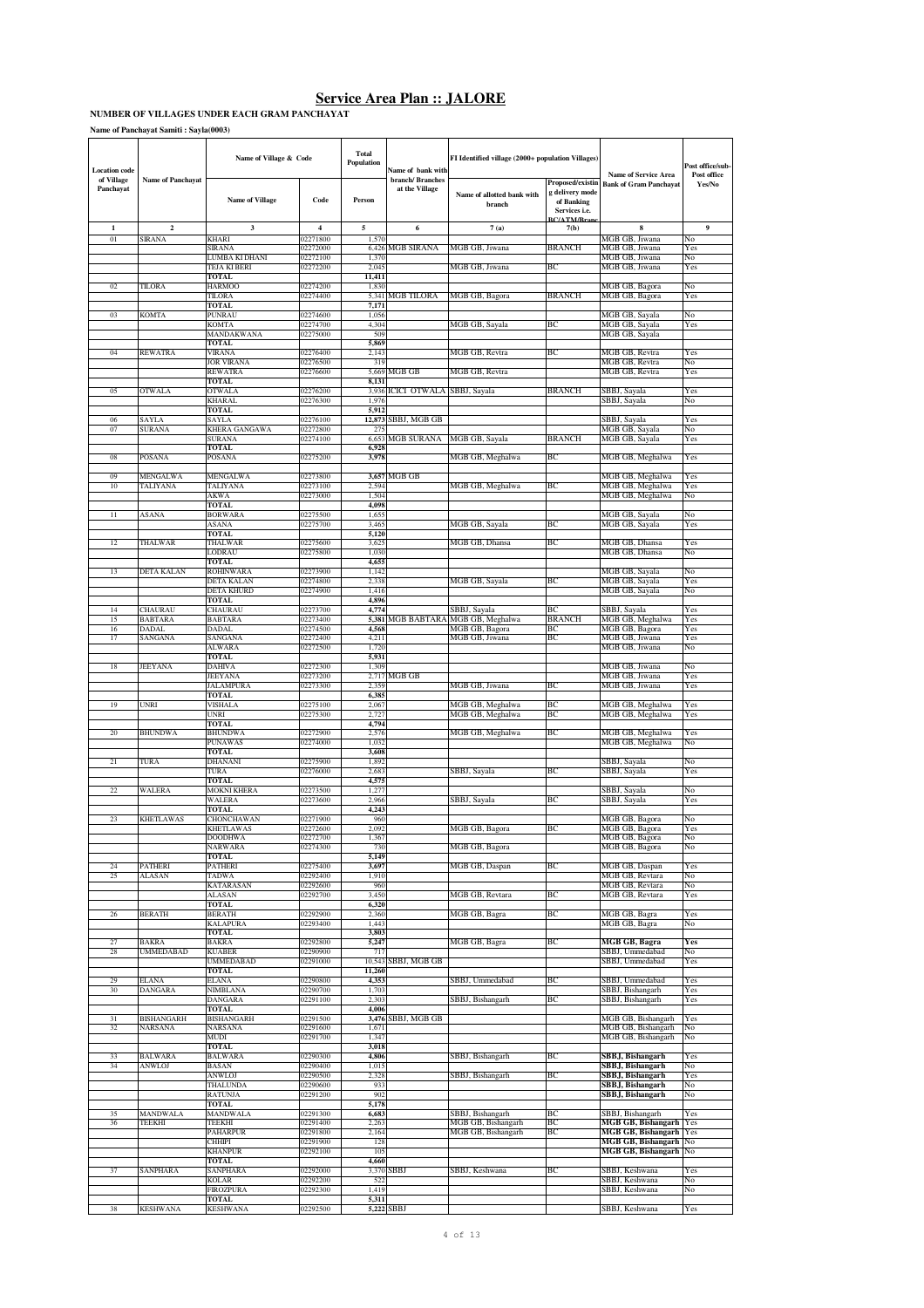#### **NUMBER OF VILLAGES UNDER EACH GRAM PANCHAYAT**

**Name of Panchayat Samiti : Sayla(0003)**

| <b>Location</b> code    |                                | Name of Village & Code           |                         | <b>Total</b><br>Population | Name of bank with                  | FI Identified village (2000+ population Villages) |                                                                                |                                                              | Post office/sub-<br>Post office |
|-------------------------|--------------------------------|----------------------------------|-------------------------|----------------------------|------------------------------------|---------------------------------------------------|--------------------------------------------------------------------------------|--------------------------------------------------------------|---------------------------------|
| of Village<br>Panchayat | <b>Name of Panchayat</b>       | Name of Village                  | Code                    | Person                     | branch/ Branches<br>at the Village | Name of allotted bank with<br><b>branch</b>       | Proposed/existin<br>g delivery mode<br>of Banking<br>Services i.e.<br>OCHATM/R | <b>Name of Service Area</b><br><b>Bank of Gram Panchayat</b> | Yes/No                          |
| 1                       | $\overline{\mathbf{c}}$        | $\mathbf{3}$                     | $\overline{\mathbf{4}}$ | 5                          | 6                                  | 7(a)                                              | 7(b)                                                                           | 8                                                            | $\mathbf Q$                     |
| 01                      | SIRANA                         | <b>CHARI</b><br><b>SIRANA</b>    | 02271800<br>02272000    | 1,570<br>6.426             | <b>MGB SIRANA</b>                  | MGB GB, Jiwana                                    | BRANCH                                                                         | MGB GB. Jiwana<br>MGB GB, Jiwana                             | No<br>Yes                       |
|                         |                                | LUMBA KI DHANI                   | 02272100                | 1.370                      |                                    |                                                   |                                                                                | MGB GB, Jiwana                                               | No                              |
|                         |                                | TEJA KI BERI                     | 02272200                | 2,045                      |                                    | MGB GB, Jiwana                                    | BС                                                                             | MGB GB, Jiwana                                               | Yes                             |
| 02                      | TILORA                         | <b>TOTAL</b><br>HARMOO           | 02274200                | 11,411<br>1,830            |                                    |                                                   |                                                                                | MGB GB, Bagora                                               | No                              |
|                         |                                | TILORA                           | 02274400                | 5,341                      | MGB TILORA                         | MGB GB, Bagora                                    | <b>BRANCH</b>                                                                  | MGB GB, Bagora                                               | Yes                             |
| 03                      | <b>KOMTA</b>                   | TOTAL<br><b>PUNRAU</b>           | 02274600                | 7,171<br>1,056             |                                    |                                                   |                                                                                | MGB GB, Sayala                                               | No                              |
|                         |                                | <b>KOMTA</b>                     | 02274700                | 4,304                      |                                    | MGB GB, Sayala                                    | BС                                                                             | MGB GB, Sayala                                               | Yes                             |
|                         |                                | MANDAKWANA                       | 02275000                | 509                        |                                    |                                                   |                                                                                | MGB GB, Sayala                                               |                                 |
| 04                      | REWATRA                        | <b>TOTAL</b><br>VIRANA           | 02276400                | 5,869<br>2,143             |                                    | MGB GB, Revtra                                    | BС                                                                             | MGB GB, Revtra                                               | Yes                             |
|                         |                                | <b>JOR VIRANA</b>                | 02276500                | 319                        |                                    |                                                   |                                                                                | MGB GB. Revtra                                               | No                              |
|                         |                                | REWATRA                          | 02276600                | 5.669                      | MGB GB                             | MGB GB, Revtra                                    |                                                                                | MGB GB, Revtra                                               | Yes                             |
| 05                      | <b>OTWALA</b>                  | <b>TOTAL</b><br>OTWALA           | 02276200                | 8,131<br>3,936             | ICICI OTWALA SBBJ, Sayala          |                                                   | <b>BRANCH</b>                                                                  | SBBJ, Sayala                                                 | Yes                             |
|                         |                                | <b>KHARAL</b>                    | 02276300                | 1,976                      |                                    |                                                   |                                                                                | SBBJ, Sayala                                                 | No                              |
| 06                      | SAYLA                          | TOTAL<br>SAYLA                   | 02276100                | 5,912<br>12,873            | SBBJ, MGB GB                       |                                                   |                                                                                | SBBJ, Sayala                                                 | Yes                             |
| 07                      | SURANA                         | KHERA GANGAWA                    | 02272800                | 27:                        |                                    |                                                   |                                                                                | MGB GB, Sayala                                               | No                              |
|                         |                                | <b>SURANA</b>                    | 02274100                | 6,65                       | MGB SURANA                         | MGB GB, Sayala                                    | <b>BRANCH</b>                                                                  | MGB GB, Sayala                                               | Yes                             |
| 08                      | POSANA                         | <b>TOTAL</b><br>POSANA           | 02275200                | 6,928<br>3,978             |                                    | MGB GB, Meghalwa                                  | ВC                                                                             | MGB GB, Meghalwa                                             | Yes                             |
|                         |                                |                                  |                         |                            |                                    |                                                   |                                                                                |                                                              |                                 |
| 09<br>10                | MENGALWA<br>TALIYANA           | MENGALWA<br><b>TALIYANA</b>      | 02273800<br>02273100    | 3,657<br>2.59              | MGB GB                             | MGB GB, Meghalwa                                  | ВC                                                                             | MGB GB, Meghalwa<br>MGB GB, Meghalwa                         | Yes<br>Yes                      |
|                         |                                | <b>AKWA</b>                      | 02273000                | 1.504                      |                                    |                                                   |                                                                                | MGB GB, Meghalwa                                             | No                              |
|                         |                                | TOTAL                            |                         | 4,098                      |                                    |                                                   |                                                                                |                                                              |                                 |
| 11                      | ASANA                          | <b>BORWARA</b><br>ASANA          | 02275500<br>02275700    | 1.65<br>3,465              |                                    | MGB GB, Sayala                                    | ВC                                                                             | MGB GB, Sayala<br>MGB GB, Sayala                             | No<br>Yes                       |
|                         |                                | TOTAL                            |                         | 5,120                      |                                    |                                                   |                                                                                |                                                              |                                 |
| 12                      | THALWAR                        | THALWAR                          | 02275600                | 3,625                      |                                    | MGB GB, Dhansa                                    | ВC                                                                             | MGB GB, Dhansa<br>MGB GB, Dhansa                             | Yes                             |
|                         |                                | LODRAU<br><b>TOTAL</b>           | 02275800                | 1,030<br>4,655             |                                    |                                                   |                                                                                |                                                              | No                              |
| 13                      | DETA KALAN                     | <b>ROHINWARA</b>                 | 02273900                | 1.142                      |                                    |                                                   |                                                                                | MGB GB, Sayala                                               | No                              |
|                         |                                | <b>DETA KALAN</b><br>DETA KHURD  | 02274800<br>02274900    | 2,338<br>1,416             |                                    | MGB GB, Sayala                                    | BС                                                                             | MGB GB, Sayala<br>MGB GB, Sayala                             | Yes<br>No                       |
|                         |                                | <b>TOTAL</b>                     |                         | 4,896                      |                                    |                                                   |                                                                                |                                                              |                                 |
| 14                      | CHAURAU                        | CHAURAU                          | 02273700                | 4,774                      |                                    | SBBJ, Sayala                                      | BC.                                                                            | SBBJ, Sayala                                                 | Yes                             |
| 15<br>16                | <b>BABTARA</b><br>DADAL        | <b>BABTARA</b><br><b>DADAL</b>   | 02273400<br>02274500    | 5,381<br>4,568             |                                    | MGB BABTARA MGB GB, Meghalwa<br>MGB GB, Bagora    | <b>BRANCH</b><br>ВC                                                            | MGB GB, Meghalwa<br>MGB GB, Bagora                           | Yes<br>Yes                      |
| 17                      | SANGANA                        | SANGANA                          | 02272400                | 4,211                      |                                    | MGB GB, Jiwana                                    | BС                                                                             | MGB GB, Jiwana                                               | Yes                             |
|                         |                                | ALWARA<br>TOTAL                  | 02272500                | 1,720<br>5,931             |                                    |                                                   |                                                                                | MGB GB, Jiwana                                               | No                              |
| 18                      | JEEYANA                        | DAHIVA                           | 02272300                | 1.309                      |                                    |                                                   |                                                                                | MGB GB, Jiwana                                               | No                              |
|                         |                                | <b>JEEYANA</b>                   | 02273200                | 2,717                      | MGB GB                             |                                                   |                                                                                | MGB GB, Jiwana                                               | Yes                             |
|                         |                                | <b>JALAMPURA</b><br><b>TOTAL</b> | 02273300                | 2.35<br>6,385              |                                    | MGB GB, Jiwana                                    | ВC                                                                             | MGB GB, Jiwana                                               | Yes                             |
| 19                      | UNRI                           | VISHALA                          | 02275100                | 2,06                       |                                    | MGB GB, Meghalwa                                  | ВC                                                                             | MGB GB, Meghalwa                                             | Yes                             |
|                         |                                | JNRI<br><b>TOTAL</b>             | 02275300                | 2,727<br>4,794             |                                    | MGB GB, Meghalwa                                  | ВC                                                                             | MGB GB, Meghalwa                                             | Yes                             |
| 20                      | <b>BHUNDWA</b>                 | BHUNDWA                          | 02272900                | 2,576                      |                                    | MGB GB, Meghalwa                                  | BС                                                                             | MGB GB, Meghalwa                                             | Yes                             |
|                         |                                | PUNAWAS                          | 02274000                | 1,032                      |                                    |                                                   |                                                                                | MGB GB, Meghalwa                                             | No                              |
| 21                      | TURA                           | <b>TOTAL</b><br>DHANANI          | 02275900                | 3,608<br>1,892             |                                    |                                                   |                                                                                | SBBJ, Sayala                                                 | No                              |
|                         |                                | TURA                             | 02276000                | 2,683                      |                                    | SBBJ, Sayala                                      | BС                                                                             | SBBJ, Sayala                                                 | Yes                             |
| 22                      | <b>WALERA</b>                  | TOTAL<br><b>MOKNI KHERA</b>      | 02273500                | 4,575<br>1,277             |                                    |                                                   |                                                                                | SBBJ, Sayala                                                 | No                              |
|                         |                                | <b>WALERA</b>                    | 02273600                | 2,966                      |                                    | SBBJ, Sayala                                      | ВC                                                                             | SBBJ, Sayala                                                 | Yes                             |
|                         |                                | <b>TOTAL</b>                     |                         | 4,243                      |                                    |                                                   |                                                                                |                                                              |                                 |
| 23                      | <b>KHETLAWAS</b>               | CHONCHAWAN<br><b>KHETLAWAS</b>   | 02271900<br>02272600    | 960<br>2,092               |                                    | MGB GB, Bagora                                    | BС                                                                             | MGB GB, Bagora<br>MGB GB, Bagora                             | No<br>Yes                       |
|                         |                                | DOODHWA                          | 12272700                | 1.36                       |                                    |                                                   |                                                                                | MGB GB.<br>Ragon                                             |                                 |
|                         |                                | NARWARA<br>TOTAL                 | 02274300                | 730<br>5,149               |                                    | MGB GB, Bagora                                    |                                                                                | MGB GB, Bagora                                               | No                              |
| 24                      | <b>PATHERI</b>                 | PATHERI                          | 02275400                | 3,697                      |                                    | MGB GB, Daspan                                    | BС                                                                             | MGB GB, Daspan                                               | Yes                             |
| 25                      | ALASAN                         | <b>TADWA</b>                     | 02292400                | 1,910                      |                                    |                                                   |                                                                                | MGB GB, Revtara                                              | No                              |
|                         |                                | KATARASAN<br>ALASAN              | 02292600<br>02292700    | 960<br>3,450               |                                    | MGB GB, Revtara                                   | ВC                                                                             | MGB GB, Revtara<br>MGB GB, Revtara                           | No<br>Yes                       |
|                         |                                | <b>TOTAL</b>                     |                         | 6,320                      |                                    |                                                   |                                                                                |                                                              |                                 |
| 26                      | <b>BERATH</b>                  | <b>BERATH</b><br>KALAPURA        | 02292900<br>02293400    | 2,360<br>1,443             |                                    | MGB GB, Bagra                                     | ВC                                                                             | MGB GB, Bagra<br>MGB GB, Bagra                               | Yes<br>No                       |
|                         |                                | <b>TOTAL</b>                     |                         | 3,803                      |                                    |                                                   |                                                                                |                                                              |                                 |
| 27<br>28                | BAKRA<br>UMMEDABAD             | BAKRA<br><b>KUABER</b>           | 02292800<br>02290900    | 5,247<br>717               |                                    | MGB GB, Bagra                                     | ВC                                                                             | MGB GB, Bagra<br>SBBJ, Ummedabad                             | Yes<br>No                       |
|                         |                                | <b>UMMEDABAD</b>                 | 02291000                | 10,543                     | SBBJ, MGB GB                       |                                                   |                                                                                | SBBJ, Ummedabad                                              | Yes                             |
|                         |                                | <b>TOTAL</b>                     |                         | 11,260                     |                                    |                                                   |                                                                                |                                                              |                                 |
| 29<br>30                | <b>ELANA</b><br><b>DANGARA</b> | ELANA<br>NIMBLANA                | 02290800<br>02290700    | 4,353<br>1,703             |                                    | SBBJ, Ummedabad                                   | ВC                                                                             | SBBJ, Ummedabad<br>SBBJ, Bishangarh                          | Yes<br>Yes                      |
|                         |                                | DANGARA                          | 02291100                | 2,303                      |                                    | SBBJ, Bishangarh                                  | BС                                                                             | SBBJ, Bishangarh                                             | Yes                             |
| 31                      | <b>BISHANGARH</b>              | TOTAL<br><b>BISHANGARH</b>       | 02291500                | 4,006                      | 3,476 SBBJ, MGB GB                 |                                                   |                                                                                | MGB GB, Bishangarh                                           | Yes                             |
| 32                      | NARSANA                        | NARSANA                          | 02291600                | 1,671                      |                                    |                                                   |                                                                                | MGB GB, Bishangarh                                           | No                              |
|                         |                                | MUDI                             | 02291700                | 1,347                      |                                    |                                                   |                                                                                | MGB GB, Bishangarh                                           | No                              |
| 33                      | <b>BALWARA</b>                 | <b>TOTAL</b><br><b>BALWARA</b>   | 02290300                | 3,018<br>4,806             |                                    | SBBJ, Bishangarh                                  | BС                                                                             | SBBJ, Bishangarh                                             | Yes                             |
| 34                      | ANWLOJ                         | <b>BASAN</b>                     | 02290400                | 1,015                      |                                    |                                                   |                                                                                | SBBJ, Bishangarh                                             | No                              |
|                         |                                | ANWLOJ                           | 02290500                | 2,328                      |                                    | SBBJ, Bishangarh                                  | BС                                                                             | SBBJ, Bishangarh                                             | Yes                             |
|                         |                                | THALUNDA<br><b>RATUNJA</b>       | 02290600<br>02291200    | 933<br>902                 |                                    |                                                   |                                                                                | SBBJ, Bishangarh<br>SBBJ, Bishangarh                         | No<br>No                        |
|                         |                                | TOTAL                            |                         | 5,178                      |                                    |                                                   |                                                                                |                                                              |                                 |
| 35                      | MANDWALA<br>TEEKHI             | MANDWALA                         | 02291300                | 6,683                      |                                    | SBBJ, Bishangarh                                  | ВC                                                                             | SBBJ, Bishangarh<br>MGB GB, Bishangarh   Yes                 | Yes                             |
| 36                      |                                | TEEKHI<br>PAHARPUR               | 02291400<br>02291800    | 2,263<br>2,164             |                                    | MGB GB, Bishangarh<br>MGB GB, Bishangarh          | ВC<br>ВC                                                                       | MGB GB, Bishangarh                                           | Yes                             |
|                         |                                | CHHIPI                           | 02291900                | 128                        |                                    |                                                   |                                                                                | MGB GB, Bishangarh No                                        |                                 |
|                         |                                | KHANPUR<br><b>TOTAL</b>          | 02292100                | 105<br>4,660               |                                    |                                                   |                                                                                | MGB GB, Bishangarh   No                                      |                                 |
| 37                      | SANPHARA                       | SANPHARA                         | 02292000                | 3,370                      | <b>SBBJ</b>                        | SBBJ, Keshwana                                    | BС                                                                             | SBBJ, Keshwana                                               | Yes                             |
|                         |                                | KOLAR<br>FIROZPURA               | 02292200<br>02292300    | 522<br>1,419               |                                    |                                                   |                                                                                | SBBJ, Keshwana<br>SBBJ, Keshwana                             | No<br>No                        |
|                         |                                | TOTAL                            |                         | 5,311                      |                                    |                                                   |                                                                                |                                                              |                                 |
| 38                      | <b>KESHWANA</b>                | <b>KESHWANA</b>                  | 02292500                |                            | 5,222 SBBJ                         |                                                   |                                                                                | SBBJ, Keshwana                                               | Yes                             |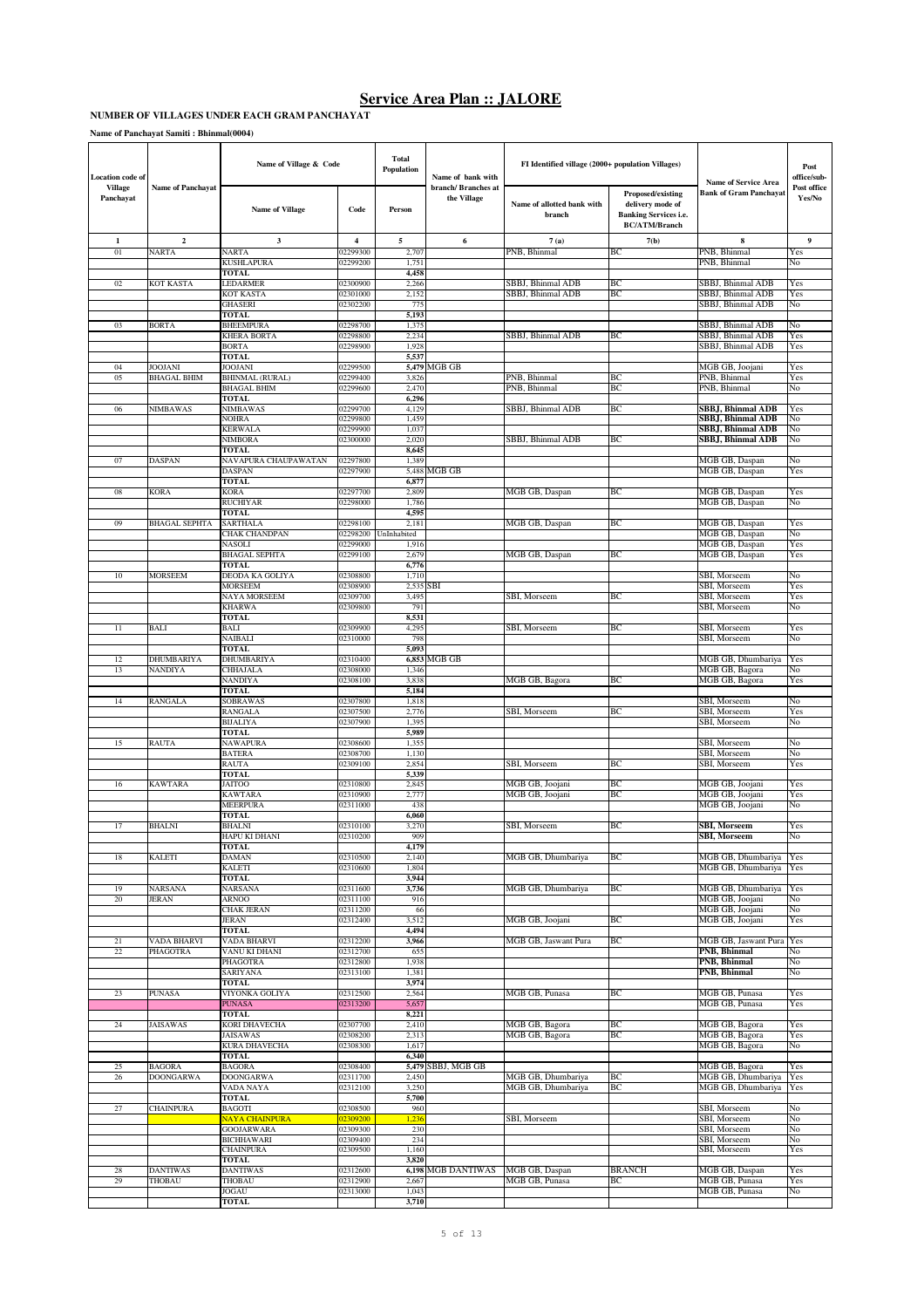### **NUMBER OF VILLAGES UNDER EACH GRAM PANCHAYAT**

**Name of Panchayat Samiti : Bhinmal(0004)**

| Location code of            |                                   | Name of Village & Code                     |                         | <b>Total</b><br>Population | Name of bank with                  | FI Identified village (2000+ population Villages) |                                                                                               | Name of Service Area                     | Post<br>office/sub-   |
|-----------------------------|-----------------------------------|--------------------------------------------|-------------------------|----------------------------|------------------------------------|---------------------------------------------------|-----------------------------------------------------------------------------------------------|------------------------------------------|-----------------------|
| <b>Village</b><br>Panchayat | <b>Name of Panchayat</b>          | <b>Name of Village</b>                     | Code                    | Person                     | branch/ Branches at<br>the Village | Name of allotted bank with<br>branch              | Proposed/existing<br>delivery mode of<br><b>Banking Services i.e.</b><br><b>BC/ATM/Branch</b> | <b>Bank of Gram Panchayat</b>            | Post office<br>Yes/No |
| 1                           | $\overline{\mathbf{c}}$           | 3                                          | $\overline{\mathbf{4}}$ | 5                          | 6                                  | 7(a)                                              | 7(b)                                                                                          | 8                                        | 9                     |
| 01                          | NARTA                             | NARTA                                      | 02299300                | 2,707                      |                                    | PNB, Bhinmal                                      | BС                                                                                            | PNB, Bhinmal                             | Yes                   |
|                             |                                   | <b>KUSHLAPURA</b><br><b>TOTAL</b>          | 02299200                | 1,751<br>4,458             |                                    |                                                   |                                                                                               | PNB, Bhinmal                             | No                    |
| 02                          | KOT KASTA                         | LEDARMER                                   | 02300900                | 2,266                      |                                    | SBBJ, Bhinmal ADB                                 | ВC                                                                                            | SBBJ, Bhinmal ADB                        | Yes                   |
|                             |                                   | <b>KOT KASTA</b>                           | 02301000                | 2,152                      |                                    | SBBJ, Bhinmal ADB                                 | BС                                                                                            | SBBJ, Bhinmal ADB                        | Yes                   |
|                             |                                   | <b>GHASERI</b><br>TOTAL                    | 02302200                | 775<br>5,193               |                                    |                                                   |                                                                                               | SBBJ, Bhinmal ADB                        | No                    |
| 03                          | <b>BORTA</b>                      | <b>BHEEMPURA</b>                           | 02298700                | 1,375                      |                                    |                                                   |                                                                                               | SBBJ, Bhinmal ADB                        | No                    |
|                             |                                   | KHERA BORTA                                | 02298800                | 2,234                      |                                    | SBBJ, Bhinmal ADB                                 | BС                                                                                            | SBBJ, Bhinmal ADB                        | Yes                   |
|                             |                                   | <b>BORTA</b><br>TOTAL                      | 02298900                | 1,928<br>5,537             |                                    |                                                   |                                                                                               | SBBJ, Bhinmal ADB                        | Yes                   |
| 04                          | <b>JOOJANI</b>                    | <b>JOOJANI</b>                             | 02299500                |                            | 5,479 MGB GB                       |                                                   |                                                                                               | MGB GB, Joojani                          | Yes                   |
| 05                          | <b>BHAGAL BHIM</b>                | <b>BHINMAL (RURAL)</b>                     | 02299400                | 3,826                      |                                    | PNB, Bhinmal                                      | ВC                                                                                            | PNB, Bhinmal                             | Yes                   |
|                             |                                   | <b>BHAGAL BHIM</b><br>TOTAL                | 02299600                | 2,470<br>6,296             |                                    | PNB, Bhinmal                                      | BС                                                                                            | PNB, Bhinmal                             | No                    |
| 06                          | NIMBAWAS                          | <b>NIMBAWAS</b>                            | 02299700                | 4,129                      |                                    | SBBJ, Bhinmal ADB                                 | ВC                                                                                            | SBBJ, Bhinmal ADB                        | Yes                   |
|                             |                                   | NOHRA                                      | 02299800                | 1,459                      |                                    |                                                   |                                                                                               | SBBJ, Bhinmal ADB                        | No                    |
|                             |                                   | <b>KERWALA</b>                             | 02299900<br>02300000    | 1,037<br>2,020             |                                    |                                                   | ВC                                                                                            | <b>SBBJ, Bhinmal ADB</b>                 | No<br>No              |
|                             |                                   | NIMBORA<br><b>TOTAL</b>                    |                         | 8,645                      |                                    | SBBJ, Bhinmal ADB                                 |                                                                                               | SBBJ, Bhinmal ADB                        |                       |
| 07                          | <b>DASPAN</b>                     | NAVAPURA CHAUPAWATAN                       | 02297800                | 1,389                      |                                    |                                                   |                                                                                               | MGB GB, Daspan                           | No                    |
|                             |                                   | DASPAN                                     | 02297900                |                            | 5,488 MGB GB                       |                                                   |                                                                                               | MGB GB, Daspan                           | Yes                   |
| 08                          | <b>KORA</b>                       | <b>TOTAL</b><br>KORA                       | 02297700                | 6,877<br>2,809             |                                    | MGB GB, Daspan                                    | ВC                                                                                            | MGB GB, Daspan                           | Yes                   |
|                             |                                   | <b>RUCHIYAR</b>                            | 02298000                | 1,786                      |                                    |                                                   |                                                                                               | MGB GB, Daspan                           | No                    |
|                             |                                   | <b>TOTAL</b>                               |                         | 4,595                      |                                    |                                                   |                                                                                               |                                          |                       |
| 09                          | <b>BHAGAL SEPHTA</b>              | <b>SARTHALA</b><br><b>CHAK CHANDPAN</b>    | 02298100<br>02298200    | 2,181<br>UnInhabited       |                                    | MGB GB, Daspan                                    | ВC                                                                                            | MGB GB, Daspan<br>MGB GB, Daspan         | Yes<br>No             |
|                             |                                   | <b>NASOLI</b>                              | 02299000                | 1,916                      |                                    |                                                   |                                                                                               | MGB GB, Daspan                           | Yes                   |
|                             |                                   | <b>BHAGAL SEPHTA</b>                       | 02299100                | 2,679                      |                                    | MGB GB, Daspan                                    | BС                                                                                            | MGB GB, Daspan                           | Yes                   |
| 10                          | <b>MORSEEM</b>                    | TOTAL<br>DEODA KA GOLIYA                   | 02308800                | 6,776<br>1,710             |                                    |                                                   |                                                                                               | SBI, Morseem                             | No                    |
|                             |                                   | <b>MORSEEM</b>                             | 02308900                | 2,535                      | SBI                                |                                                   |                                                                                               | SBI, Morseem                             | Yes                   |
|                             |                                   | NAYA MORSEEM                               | 02309700                | 3,495                      |                                    | SBI, Morseem                                      | BС                                                                                            | SBI, Morseem                             | Yes                   |
|                             |                                   | KHARWA<br>TOTAL                            | 02309800                | 791<br>8,531               |                                    |                                                   |                                                                                               | SBI, Morseem                             | No                    |
| 11                          | <b>BALI</b>                       | BALI                                       | 02309900                | 4,295                      |                                    | SBI, Morseem                                      | ВC                                                                                            | SBI, Morseem                             | Yes                   |
|                             |                                   | NAIBALI                                    | 02310000                | 798                        |                                    |                                                   |                                                                                               | SBI, Morseem                             | No                    |
| 12                          | DHUMBARIYA                        | <b>TOTAL</b><br>DHUMBARIYA                 | 02310400                | 5,093                      | 6,853 MGB GB                       |                                                   |                                                                                               | MGB GB, Dhumbariya                       | Yes                   |
| 13                          | NANDIYA                           | CHHAJALA                                   | 02308000                | 1,346                      |                                    |                                                   |                                                                                               | MGB GB, Bagora                           | No                    |
|                             |                                   | NANDIYA                                    | 02308100                | 3,838                      |                                    | MGB GB, Bagora                                    | ВC                                                                                            | MGB GB, Bagora                           | Yes                   |
| 14                          | <b>RANGALA</b>                    | <b>TOTAL</b><br>SOBRAWAS                   | 02307800                | 5,184<br>1,818             |                                    |                                                   |                                                                                               | SBI, Morseem                             | No                    |
|                             |                                   | RANGALA                                    | 02307500                | 2,776                      |                                    | SBI, Morseem                                      | ВC                                                                                            | SBI, Morseem                             | Yes                   |
|                             |                                   | <b>BIJALIYA</b>                            | 02307900                | 1,395                      |                                    |                                                   |                                                                                               | SBI, Morseem                             | No                    |
| 15                          | <b>RAUTA</b>                      | <b>TOTAL</b><br>NAWAPURA                   | 02308600                | 5,989<br>1,355             |                                    |                                                   |                                                                                               | SBI, Morseem                             | No                    |
|                             |                                   | <b>BATERA</b>                              | 02308700                | 1,130                      |                                    |                                                   |                                                                                               | SBI, Morseem                             | No                    |
|                             |                                   | RAUTA                                      | 02309100                | 2,854                      |                                    | SBI, Morseem                                      | BС                                                                                            | SBI, Morseem                             | Yes                   |
| 16                          | <b>KAWTARA</b>                    | <b>TOTAL</b><br><b>JAITOO</b>              | 02310800                | 5,339<br>2,845             |                                    | MGB GB, Joojani                                   | ВC                                                                                            | MGB GB, Joojani                          | Yes                   |
|                             |                                   | KAWTARA                                    | 02310900                | 2,777                      |                                    | MGB GB, Joojani                                   | ВC                                                                                            | MGB GB, Joojani                          | Yes                   |
|                             |                                   | MEERPURA                                   | 02311000                | 438                        |                                    |                                                   |                                                                                               | MGB GB, Joojani                          | No                    |
|                             |                                   | <b>TOTAL</b>                               |                         | 6,060                      |                                    |                                                   |                                                                                               |                                          |                       |
| 17                          | <b>BHALNI</b>                     | <b>BHALNI</b><br>HAPU KI DHANI             | 02310100<br>02310200    | 3,270<br>909               |                                    | SBI, Morseem                                      | ВC                                                                                            | SBI, Morseem<br><b>SBI, Morseem</b>      | Yes<br>No             |
|                             |                                   | TOTAL                                      |                         | 4,179                      |                                    |                                                   |                                                                                               |                                          |                       |
| 18                          | <b>KALETI</b>                     | <b>DAMAN</b><br>KALETI                     | 02310500<br>02310600    | 2,140<br>1,804             |                                    | MGB GB, Dhumbariya                                | BС                                                                                            | MGB GB, Dhumbariya<br>MGB GB, Dhumbariya | Yes<br>Yes            |
|                             |                                   | <b>TOTAL</b>                               |                         | 3,944                      |                                    |                                                   |                                                                                               |                                          |                       |
| 19                          | NARSANA                           | NARSANA                                    | 02311600                | 3,736                      |                                    | MGB GB, Dhumbariya                                | BС                                                                                            | MGB GB, Dhumbariya                       | Yes                   |
| 20                          | JERAN                             | ARNOO<br>CHAK JERAN                        | 02311100<br>02311200    | 916<br>66                  |                                    |                                                   |                                                                                               | MGB GB, Joojani<br>MGB GB, Joojani       | No<br>No              |
|                             |                                   | JERAN                                      | 02312400                | 3,512                      |                                    | MGB GB, Joojani                                   | ВC                                                                                            | MGB GB, Joojani                          | Yes                   |
|                             |                                   | <b>TOTAL</b>                               |                         | 4,494                      |                                    |                                                   |                                                                                               |                                          |                       |
| 21<br>22                    | VADA BHARVI<br>PHAGOTRA           | VADA BHARVI<br>VANU KI DHANI               | 02312200<br>02312700    | 3,966<br>655               |                                    | MGB GB, Jaswant Pura                              | BС                                                                                            | MGB GB, Jaswant Pura<br>PNB, Bhinmal     | Yes<br>No             |
|                             |                                   | PHAGOTRA                                   | 02312800                | 1,938                      |                                    |                                                   |                                                                                               | PNB, Bhinmal                             | No                    |
|                             |                                   | <b>SARIYANA</b>                            | 02313100                | 1,381                      |                                    |                                                   |                                                                                               | PNB, Bhinmal                             | No                    |
| 23                          | <b>PUNASA</b>                     | <b>TOTAL</b><br>VIYONKA GOLIYA             | 02312500                | 3,974<br>2,564             |                                    | MGB GB, Punasa                                    | ВC                                                                                            | MGB GB, Punasa                           | Yes                   |
|                             |                                   | PUNASA                                     | 02313200                | 5,657                      |                                    |                                                   |                                                                                               | MGB GB, Punasa                           | Yes                   |
|                             |                                   | <b>TOTAL</b>                               |                         | 8,221                      |                                    |                                                   |                                                                                               |                                          |                       |
| 24                          | <b>JAISAWAS</b>                   | <b>KORI DHAVECHA</b><br><b>JAISAWAS</b>    | 02307700<br>02308200    | 2,410<br>2,313             |                                    | MGB GB, Bagora<br>MGB GB, Bagora                  | ВC<br>ВC                                                                                      | MGB GB, Bagora<br>MGB GB, Bagora         | Yes<br>Yes            |
|                             |                                   | KURA DHAVECHA                              | 02308300                | 1,617                      |                                    |                                                   |                                                                                               | MGB GB, Bagora                           | No                    |
|                             |                                   | <b>TOTAL</b>                               |                         | 6,340                      |                                    |                                                   |                                                                                               |                                          |                       |
| 25<br>26                    | <b>BAGORA</b><br><b>DOONGARWA</b> | <b>BAGORA</b>                              | 02308400                |                            | 5,479 SBBJ, MGB GB                 |                                                   | ВC                                                                                            | MGB GB, Bagora                           | Yes<br>Yes            |
|                             |                                   | <b>DOONGARWA</b><br>VADA NAYA              | 02311700<br>02312100    | 2,450<br>3,250             |                                    | MGB GB, Dhumbariya<br>MGB GB, Dhumbariya          | ВC                                                                                            | MGB GB, Dhumbariya<br>MGB GB, Dhumbariya | Yes                   |
|                             |                                   | <b>TOTAL</b>                               |                         | 5,700                      |                                    |                                                   |                                                                                               |                                          |                       |
| 27                          | <b>CHAINPURA</b>                  | <b>BAGOTI</b>                              | 02308500                | 960                        |                                    |                                                   |                                                                                               | SBI, Morseem                             | No                    |
|                             |                                   | <b>NAYA CHAINPURA</b><br><b>GOOJARWARA</b> | 02309200<br>02309300    | 1,236<br>230               |                                    | SBI, Morseem                                      |                                                                                               | SBI, Morseem<br>SBI, Morseem             | No<br>No              |
|                             |                                   | <b>BICHHAWARI</b>                          | 02309400                | 234                        |                                    |                                                   |                                                                                               | SBI, Morseem                             | No                    |
|                             |                                   | CHAINPURA                                  | 02309500                | 1,160                      |                                    |                                                   |                                                                                               | SBI, Morseem                             | Yes                   |
| 28                          | <b>DANTIWAS</b>                   | TOTAL<br><b>DANTIWAS</b>                   | 02312600                | 3,820                      | 6,198 MGB DANTIWAS                 | MGB GB, Daspan                                    | BRANCH                                                                                        | MGB GB, Daspan                           | Yes                   |
| 29                          | THOBAU                            | THOBAU                                     | 02312900                | 2,667                      |                                    | MGB GB, Punasa                                    | BС                                                                                            | MGB GB, Punasa                           | Yes                   |
|                             |                                   | JOGAU<br>TOTAL                             | 02313000                | 1,043<br>3,710             |                                    |                                                   |                                                                                               | MGB GB, Punasa                           | No                    |
|                             |                                   |                                            |                         |                            |                                    |                                                   |                                                                                               |                                          |                       |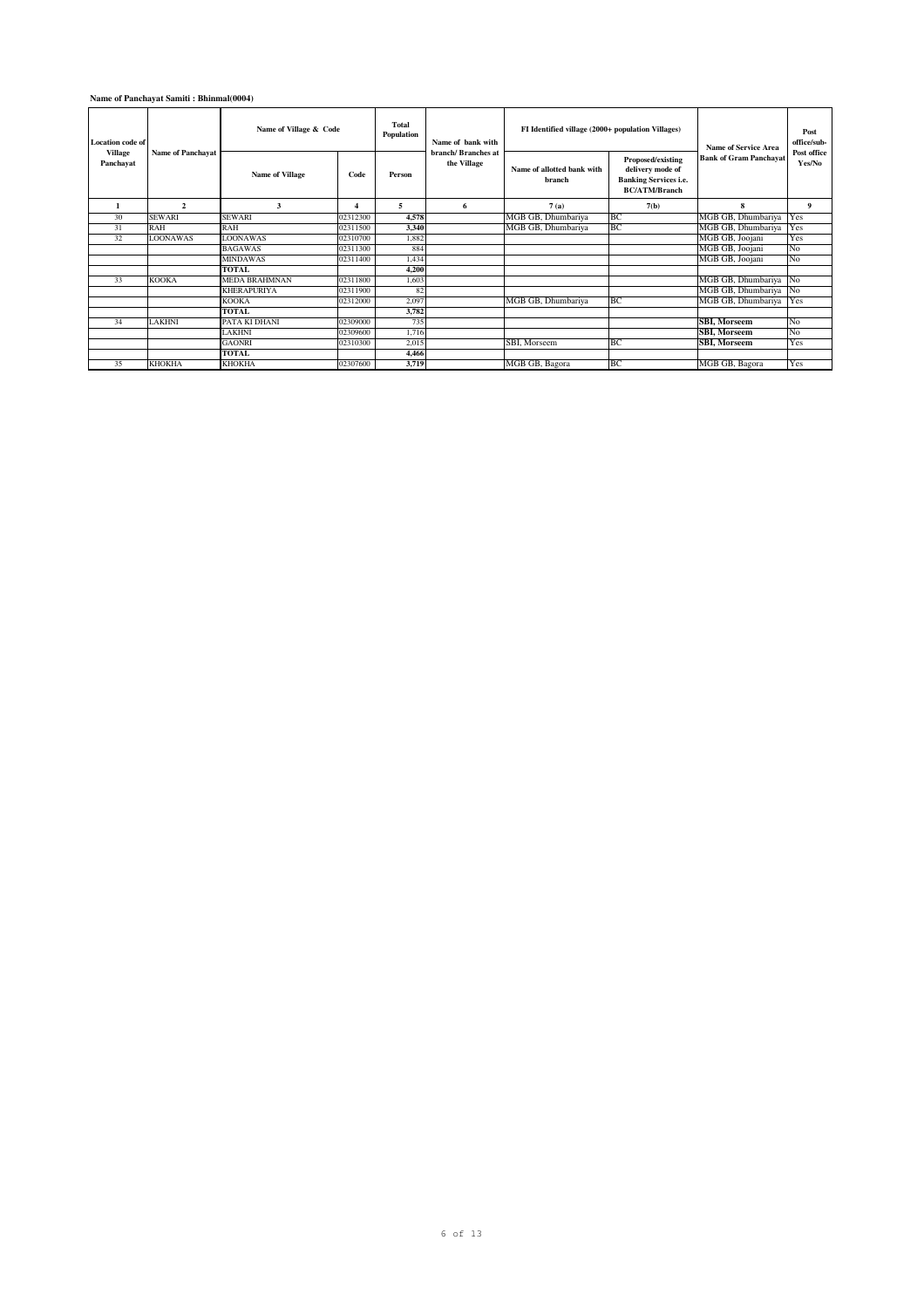# **Name of Panchayat Samiti : Bhinmal(0004)**

| Location code of     |                          | Name of Village & Code |          | Total<br>Population | Name of bank with                 | FI Identified village (2000+ population Villages) | Name of Service Area                                                                          | Post<br>office/sub-           |                       |
|----------------------|--------------------------|------------------------|----------|---------------------|-----------------------------------|---------------------------------------------------|-----------------------------------------------------------------------------------------------|-------------------------------|-----------------------|
| Village<br>Panchayat | <b>Name of Panchayat</b> | <b>Name of Village</b> | Code     | Person              | branch/Branches at<br>the Village | Name of allotted bank with<br>branch              | Proposed/existing<br>delivery mode of<br><b>Banking Services i.e.</b><br><b>BC/ATM/Branch</b> | <b>Bank of Gram Panchayat</b> | Post office<br>Yes/No |
|                      | $\overline{2}$           | 3                      | 4        | 5                   | 6                                 | 7(a)                                              | 7(b)                                                                                          | 8                             | 9                     |
| 30                   | <b>SEWARI</b>            | <b>SEWARI</b>          | 02312300 | 4,578               |                                   | MGB GB, Dhumbariya                                | BC                                                                                            | MGB GB, Dhumbariya            | Yes                   |
| 31                   | <b>RAH</b>               | <b>RAH</b>             | 02311500 | 3,340               |                                   | MGB GB, Dhumbariya                                | BС                                                                                            | MGB GB, Dhumbariya            | Yes                   |
| 32                   | <b>LOONAWAS</b>          | <b>LOONAWAS</b>        | 02310700 | 1,882               |                                   |                                                   |                                                                                               | MGB GB, Joojani               | Yes                   |
|                      |                          | <b>BAGAWAS</b>         | 02311300 | 884                 |                                   |                                                   |                                                                                               | MGB GB, Joojani               | No                    |
|                      |                          | <b>MINDAWAS</b>        | 02311400 | 1,434               |                                   |                                                   |                                                                                               | MGB GB, Joojani               | No                    |
|                      |                          | <b>TOTAL</b>           |          | 4,200               |                                   |                                                   |                                                                                               |                               |                       |
| 33                   | <b>KOOKA</b>             | <b>MEDA BRAHMNAN</b>   | 02311800 | 1,603               |                                   |                                                   |                                                                                               | MGB GB, Dhumbariya No         |                       |
|                      |                          | <b>KHERAPURIYA</b>     | 02311900 | 82                  |                                   |                                                   |                                                                                               | MGB GB, Dhumbariya            | No                    |
|                      |                          | <b>KOOKA</b>           | 02312000 | 2,097               |                                   | MGB GB, Dhumbariya                                | BC                                                                                            | MGB GB, Dhumbariya            | Yes                   |
|                      |                          | TOTAL.                 |          | 3,782               |                                   |                                                   |                                                                                               |                               |                       |
| 34                   | <b>LAKHNI</b>            | PATA KI DHANI          | 02309000 | 735                 |                                   |                                                   |                                                                                               | <b>SBI, Morseem</b>           | No                    |
|                      |                          | LAKHNI                 | 02309600 | 1,716               |                                   |                                                   |                                                                                               | <b>SBI, Morseem</b>           | No                    |
|                      |                          | <b>GAONRI</b>          | 02310300 | 2,015               |                                   | SBI. Morseem                                      | BС                                                                                            | <b>SBI, Morseem</b>           | Yes                   |
|                      |                          | <b>TOTAL</b>           |          | 4,466               |                                   |                                                   |                                                                                               |                               |                       |
| 35                   | <b>KHOKHA</b>            | <b>KHOKHA</b>          | 02307600 | 3,719               |                                   | MGB GB, Bagora                                    | BС                                                                                            | MGB GB, Bagora                | Yes                   |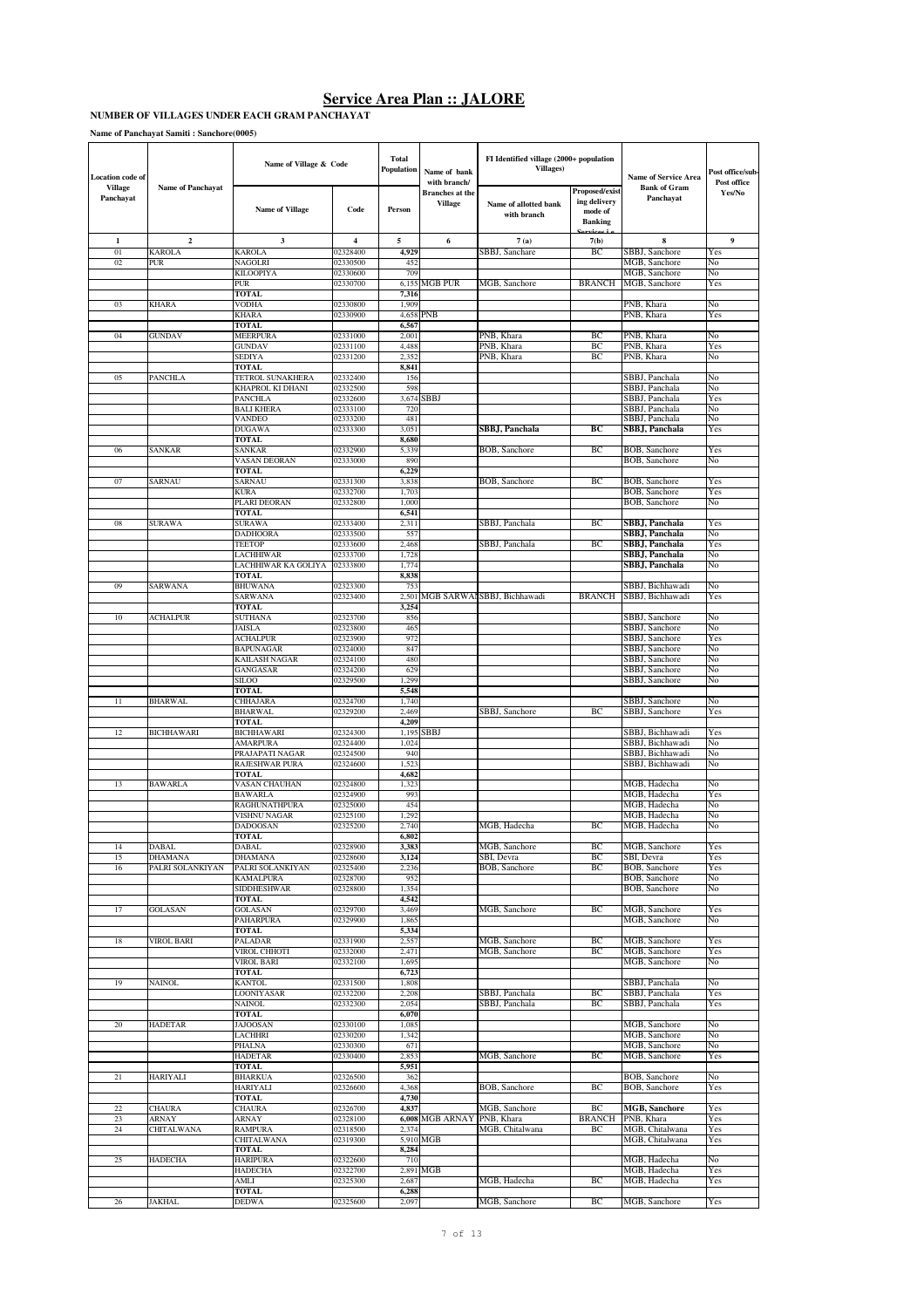### **NUMBER OF VILLAGES UNDER EACH GRAM PANCHAYAT**

**Name of Panchayat Samiti : Sanchore(0005)**

| Location code of            |                             | Name of Village & Code                   |                      | Total<br>Population | Name of bank<br>with branch/             | FI Identified village (2000+ population<br>Villages) |                                                             | <b>Name of Service Area</b>          | Post office/sub<br>Post office |
|-----------------------------|-----------------------------|------------------------------------------|----------------------|---------------------|------------------------------------------|------------------------------------------------------|-------------------------------------------------------------|--------------------------------------|--------------------------------|
| <b>Village</b><br>Panchayat | Name of Panchayat           | Name of Village                          | Code                 | Person              | <b>Branches</b> at the<br><b>Village</b> | Name of allotted bank<br>with branch                 | Proposed/exist<br>ing delivery<br>mode of<br><b>Banking</b> | <b>Bank of Gram</b><br>Panchavat     | Yes/No                         |
| $\mathbf{1}$                | $\mathbf{2}$                | 3                                        | 4                    | 5                   | 6                                        | 7(a)                                                 | 7(b)                                                        | 8                                    | 9                              |
| 01                          | <b>KAROLA</b>               | <b>KAROLA</b>                            | 02328400             | 4,929               |                                          | SBBJ, Sanchare                                       | BC                                                          | SBBJ, Sanchore                       | Yes                            |
| 02                          | <b>PUR</b>                  | <b>NAGOLRI</b><br>KILOOPIYA              | 02330500<br>02330600 | 452<br>709          |                                          |                                                      |                                                             | MGB, Sanchore<br>MGB, Sanchore       | No<br>No                       |
|                             |                             | PUR                                      | 02330700             | 6,155               | MGB PUR                                  | MGB, Sanchore                                        | <b>BRANCH</b>                                               | MGB, Sanchore                        | Yes                            |
|                             |                             | TOTAL                                    |                      | 7,316               |                                          |                                                      |                                                             |                                      |                                |
| 03                          | KHARA                       | <b>VODHA</b><br>KHARA                    | 02330800<br>02330900 | 1,909<br>4,658      | <b>PNB</b>                               |                                                      |                                                             | PNB, Khara<br>PNB, Khara             | No<br>Yes                      |
|                             |                             | TOTAL                                    |                      | 6,567               |                                          |                                                      |                                                             |                                      |                                |
| 04                          | <b>GUNDAV</b>               | MEERPURA                                 | 02331000             | 2,001               |                                          | PNB, Khara                                           | BC                                                          | PNB, Khara                           | No                             |
|                             |                             | <b>GUNDAV</b><br>SEDIYA                  | 02331100<br>02331200 | 4,488<br>2,352      |                                          | PNB, Khara<br>PNB, Khara                             | BС<br>BC                                                    | PNB, Khara<br>PNB, Khara             | Yes<br>No                      |
|                             |                             | <b>TOTAL</b>                             |                      | 8,841               |                                          |                                                      |                                                             |                                      |                                |
| 05                          | <b>PANCHLA</b>              | TETROL SUNAKHERA                         | 02332400             | 156                 |                                          |                                                      |                                                             | SBBJ, Panchala                       | N٥                             |
|                             |                             | KHAPROL KI DHANI<br><b>PANCHLA</b>       | 02332500<br>02332600 | 598<br>3,674        | SBBJ                                     |                                                      |                                                             | SBBJ, Panchala<br>SBBJ, Panchala     | No<br>Yes                      |
|                             |                             | <b>BALI KHERA</b>                        | 02333100             | 720                 |                                          |                                                      |                                                             | SBBJ, Panchala                       | No                             |
|                             |                             | VANDEO                                   | 02333200             | 481                 |                                          |                                                      |                                                             | SBBJ, Panchala                       | No                             |
|                             |                             | <b>DUGAWA</b><br>TOTAL                   | 02333300             | 3,051<br>8,680      |                                          | SBBJ, Panchala                                       | BС                                                          | SBBJ, Panchala                       | Yes                            |
| 06                          | <b>SANKAR</b>               | SANKAR                                   | 02332900             | 5,339               |                                          | BOB, Sanchore                                        | ВC                                                          | BOB, Sanchore                        | Yes                            |
|                             |                             | <b>VASAN DEORAN</b>                      | 02333000             | 890                 |                                          |                                                      |                                                             | <b>BOB, Sanchore</b>                 | No                             |
| 07                          | SARNAU                      | <b>TOTAL</b><br>SARNAU                   | 02331300             | 6,229<br>3,838      |                                          | <b>BOB, Sanchore</b>                                 | BC                                                          | BOB, Sanchore                        | Yes                            |
|                             |                             | <b>KURA</b>                              | 02332700             | 1,703               |                                          |                                                      |                                                             | BOB, Sanchore                        | Yes                            |
|                             |                             | PLARI DEORAN                             | 02332800             | 1,000               |                                          |                                                      |                                                             | <b>BOB</b> , Sanchore                | No                             |
|                             |                             | TOTAL                                    |                      | 6,541               |                                          |                                                      |                                                             |                                      |                                |
| 08                          | SURAWA                      | <b>SURAWA</b><br><b>DADHOORA</b>         | 02333400<br>02333500 | 2,311<br>557        |                                          | SBBJ, Panchala                                       | BC                                                          | SBBJ, Panchala<br>SBBJ, Panchala     | Yes<br>No                      |
|                             |                             | <b>TEETOP</b>                            | 02333600             | 2,468               |                                          | SBBJ, Panchala                                       | BC                                                          | SBBJ, Panchala                       | Yes                            |
|                             |                             | LACHHIWAR                                | 02333700             | 1,728               |                                          |                                                      |                                                             | SBBJ, Panchala                       | No                             |
|                             |                             | LACHHIWAR KA GOLIYA<br>TOTAL             | 02333800             | 1,774<br>8,838      |                                          |                                                      |                                                             | SBBJ, Panchala                       | No                             |
| 09                          | SARWANA                     | <b>BHUWANA</b>                           | 02323300             | 753                 |                                          |                                                      |                                                             | SBBJ, Bichhawadi                     | No                             |
|                             |                             | SARWANA                                  | 02323400             | 2,501               |                                          | MGB SARWAI SBBJ, Bichhawadi                          | <b>BRANCH</b>                                               | SBBJ, Bichhawadi                     | Yes                            |
| 10                          | <b>ACHALPUR</b>             | <b>TOTAL</b><br><b>SUTHANA</b>           | 02323700             | 3,254<br>856        |                                          |                                                      |                                                             | SBBJ, Sanchore                       | No                             |
|                             |                             | JAISLA                                   | 02323800             | 465                 |                                          |                                                      |                                                             | SBBJ, Sanchore                       | No                             |
|                             |                             | <b>ACHALPUR</b>                          | 02323900             | 972                 |                                          |                                                      |                                                             | SBBJ, Sanchore                       | Yes                            |
|                             |                             | <b>BAPUNAGAR</b><br><b>KAILASH NAGAR</b> | 02324000<br>02324100 | 847<br>480          |                                          |                                                      |                                                             | SBBJ, Sanchore<br>SBBJ, Sanchore     | No<br>No                       |
|                             |                             | GANGASAR                                 | 02324200             | 629                 |                                          |                                                      |                                                             | SBBJ, Sanchore                       | No                             |
|                             |                             | <b>SILOO</b>                             | 02329500             | 1,299               |                                          |                                                      |                                                             | SBBJ, Sanchore                       | No                             |
| 11                          | <b>BHARWAL</b>              | <b>TOTAL</b><br>CHHAJARA                 | 02324700             | 5,548<br>1,740      |                                          |                                                      |                                                             | SBBJ, Sanchore                       | No                             |
|                             |                             | <b>BHARWAL</b>                           | 02329200             | 2,469               |                                          | SBBJ, Sanchore                                       | ВC                                                          | SBBJ, Sanchore                       | Yes                            |
|                             |                             | TOTAL                                    |                      | 4,209               |                                          |                                                      |                                                             |                                      |                                |
| 12                          | <b>BICHHAWARI</b>           | <b>BICHHAWARI</b><br>AMARPURA            | 02324300<br>02324400 | 1,195<br>1,024      | SBBJ                                     |                                                      |                                                             | SBBJ, Bichhawadi<br>SBBJ, Bichhawadi | Yes<br>No                      |
|                             |                             | PRAJAPATI NAGAR                          | 02324500             | 940                 |                                          |                                                      |                                                             | SBBJ, Bichhawadi                     | No                             |
|                             |                             | <b>RAJESHWAR PURA</b>                    | 02324600             | 1,523               |                                          |                                                      |                                                             | SBBJ, Bichhawadi                     | No                             |
| 13                          | <b>BAWARLA</b>              | <b>TOTAL</b><br>VASAN CHAUHAN            | 02324800             | 4,682<br>1,323      |                                          |                                                      |                                                             | MGB, Hadecha                         | No                             |
|                             |                             | <b>BAWARLA</b>                           | 02324900             | 993                 |                                          |                                                      |                                                             | MGB, Hadecha                         | Yes                            |
|                             |                             | <b>RAGHUNATHPURA</b>                     | 02325000             | 454                 |                                          |                                                      |                                                             | MGB, Hadecha                         | No                             |
|                             |                             | VISHNU NAGAR<br><b>DADOOSAN</b>          | 02325100<br>02325200 | 1,292<br>2,740      |                                          | MGB, Hadecha                                         | BС                                                          | MGB, Hadecha<br>MGB, Hadecha         | No<br>No                       |
|                             |                             | <b>TOTAL</b>                             |                      | 6,802               |                                          |                                                      |                                                             |                                      |                                |
| 14                          | DABAL                       | DABAL                                    | 02328900             | 3,383               |                                          | MGB, Sanchore                                        | ВC                                                          | MGB, Sanchore                        | Yes                            |
| 15<br>16                    | DHAMANA<br>PALRI SOLANKIYAN | DHAMANA<br>PALRI SOLANKIYAN              | 02328600<br>02325400 | 3,124<br>2,236      |                                          | SBI, Devra<br>BOB, Sanchore                          | ВC<br>ВC                                                    | SBI, Devra<br>BOB, Sanchore          | Yes<br>Yes                     |
|                             |                             | <b>KAMALPURA</b>                         | 02328700             | 952                 |                                          |                                                      |                                                             | BOB, Sanchore                        | No                             |
|                             |                             | SIDDHESHWAR                              | 02328800             | 1,354               |                                          |                                                      |                                                             | BOB, Sanchore                        | No                             |
| 17                          | <b>GOLASAN</b>              | <b>TOTAL</b><br><b>GOLASAN</b>           | 02329700             | 4,542<br>3,469      |                                          | MGB, Sanchore                                        | BC                                                          | MGB, Sanchore                        | Yes                            |
|                             |                             | <b>PAHARPURA</b>                         | 02329900             | 1,865               |                                          |                                                      |                                                             | MGB, Sanchore                        | No                             |
|                             |                             | TOTAL                                    |                      | 5,334               |                                          |                                                      |                                                             |                                      |                                |
| 18                          | <b>VIROL BARI</b>           | <b>PALADAR</b><br>VIROL CHHOTI           | 02331900<br>02332000 | 2,557<br>2,471      |                                          | MGB, Sanchore<br>MGB, Sanchore                       | ВC<br>ВC                                                    | MGB, Sanchore<br>MGB, Sanchore       | Yes<br>Yes                     |
|                             |                             | VIROL BARI                               | 02332100             | 1,695               |                                          |                                                      |                                                             | MGB, Sanchore                        | No                             |
|                             |                             | <b>TOTAL</b>                             |                      | 6,723               |                                          |                                                      |                                                             |                                      |                                |
| 19                          | NAINOL                      | <b>KANTOL</b><br><b>LOONIYASAR</b>       | 02331500<br>02332200 | 1,808<br>2,208      |                                          | SBBJ, Panchala                                       | BC                                                          | SBBJ, Panchala<br>SBBJ, Panchala     | No<br>Yes                      |
|                             |                             | NAINOL                                   | 02332300             | 2,054               |                                          | SBBJ, Panchala                                       | BC                                                          | SBBJ, Panchala                       | Yes                            |
| 20                          | <b>HADETAR</b>              | <b>TOTAL</b><br><b>JAJOOSAN</b>          | 02330100             | 6,070<br>1,085      |                                          |                                                      |                                                             | MGB, Sanchore                        | No                             |
|                             |                             | LACHHRI                                  | 02330200             | 1,342               |                                          |                                                      |                                                             | MGB, Sanchore                        | No                             |
|                             |                             | PHALNA                                   | 02330300             | 671                 |                                          |                                                      |                                                             | MGB, Sanchore                        | No                             |
|                             |                             | <b>HADETAR</b><br><b>TOTAL</b>           | 02330400             | 2,853<br>5,951      |                                          | MGB, Sanchore                                        | ВC                                                          | MGB, Sanchore                        | Yes                            |
| 21                          | HARIYALI                    | <b>BHARKUA</b>                           | 02326500             | 362                 |                                          |                                                      |                                                             | BOB, Sanchore                        | No                             |
|                             |                             | <b>HARIYALI</b>                          | 02326600             | 4,368               |                                          | <b>BOB, Sanchore</b>                                 | BC                                                          | <b>BOB</b> , Sanchore                | Yes                            |
|                             |                             | <b>TOTAL</b>                             |                      | 4,730               |                                          |                                                      |                                                             |                                      |                                |
| 22<br>23                    | <b>CHAURA</b><br>ARNAY      | <b>CHAURA</b><br>ARNAY                   | 02326700<br>02328100 | 4,837               | 6,008 MGB ARNAY PNB, Khara               | MGB, Sanchore                                        | ВC<br><b>BRANCH</b>                                         | <b>MGB, Sanchore</b><br>PNB, Khara   | Yes<br>Yes                     |
| 24                          | <b>CHITALWANA</b>           | <b>RAMPURA</b>                           | 02318500             | 2,374               |                                          | MGB, Chitalwana                                      | BС                                                          | MGB, Chitalwana                      | Yes                            |
|                             |                             | CHITALWANA                               | 02319300             |                     | 5,910 MGB                                |                                                      |                                                             | MGB, Chitalwana                      | Yes                            |
| 25                          | <b>HADECHA</b>              | TOTAL<br><b>HARIPURA</b>                 | 02322600             | 8,284<br>710        |                                          |                                                      |                                                             | MGB, Hadecha                         | No                             |
|                             |                             | <b>HADECHA</b>                           | 02322700             |                     | 2,891 MGB                                |                                                      |                                                             | MGB, Hadecha                         | Yes                            |
|                             |                             | AMLI                                     | 02325300             | 2,687               |                                          | MGB, Hadecha                                         | BC                                                          | MGB, Hadecha                         | Yes                            |
| 26                          | <b>JAKHAL</b>               | TOTAL<br><b>DEDWA</b>                    | 02325600             | 6,288<br>2,097      |                                          | MGB, Sanchore                                        | BC                                                          | MGB, Sanchore                        | Yes                            |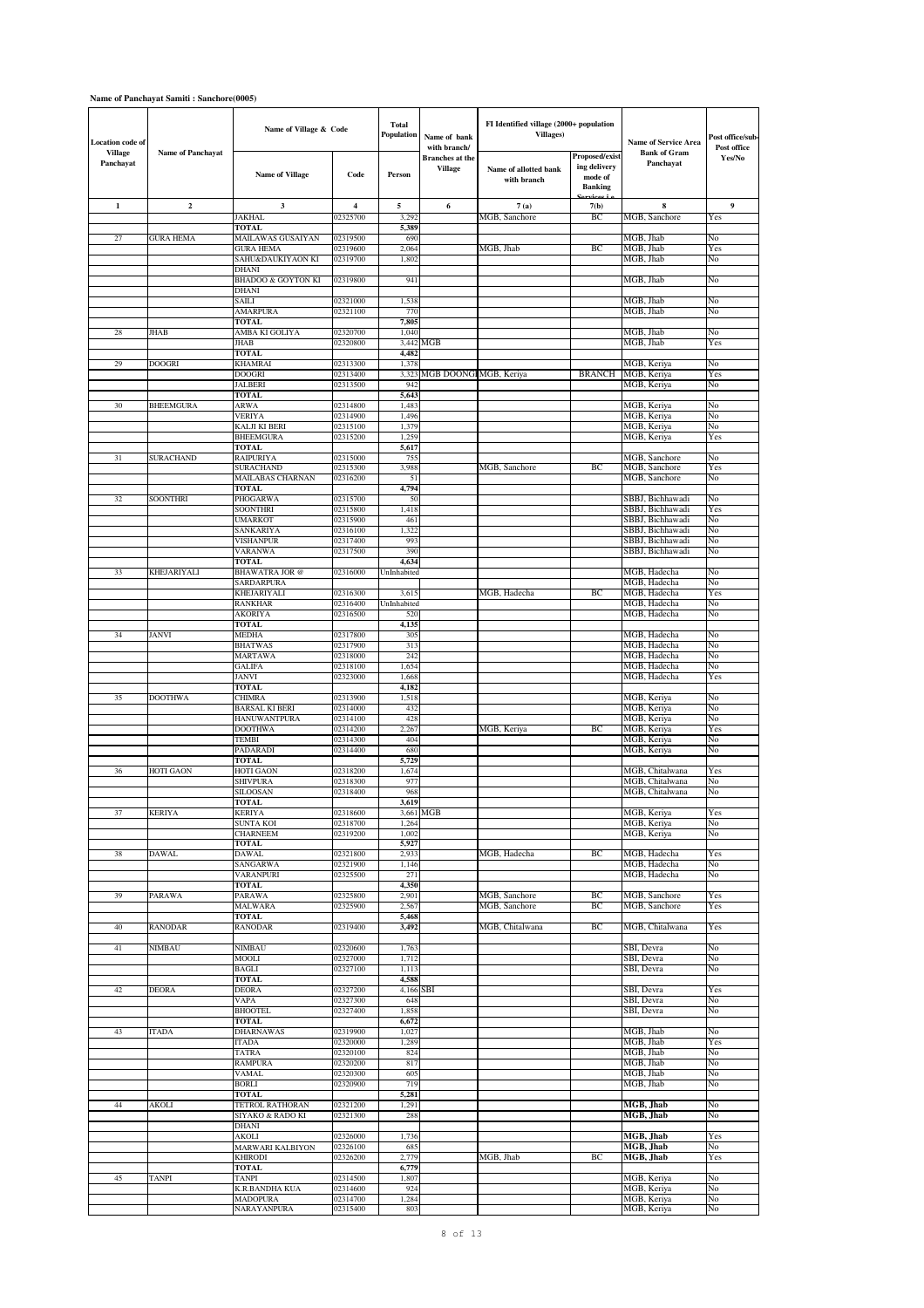### **Name of Panchayat Samiti : Sanchore(0005)**

| Location code of            |                   | Name of Village & Code                |                      | <b>Total</b><br>Population | Name of bank<br>with branch/             | FI Identified village (2000+ population<br><b>Villages</b> ) |                                                             | <b>Name of Service Area</b>          | Post office/sub<br>Post office |
|-----------------------------|-------------------|---------------------------------------|----------------------|----------------------------|------------------------------------------|--------------------------------------------------------------|-------------------------------------------------------------|--------------------------------------|--------------------------------|
| <b>Village</b><br>Panchayat | Name of Panchayat | <b>Name of Village</b>                | Code                 | Person                     | <b>Branches</b> at the<br><b>Village</b> | Name of allotted bank<br>with branch                         | Proposed/exist<br>ing delivery<br>mode of<br><b>Banking</b> | <b>Bank of Gram</b><br>Panchayat     | Yes/No                         |
| $\mathbf{1}$                | $\mathbf 2$       | 3                                     | $\overline{4}$       | 5                          | 6                                        | 7(a)                                                         | 7(b)                                                        | 8                                    | 9                              |
|                             |                   | <b>JAKHAL</b><br><b>TOTAL</b>         | 02325700             | 3,292<br>5,389             |                                          | MGB, Sanchore                                                | BC                                                          | MGB. Sanchore                        | Yes                            |
| 27                          | GURA HEMA         | MAILAWAS GUSAIYAN                     | 02319500             | 690                        |                                          |                                                              |                                                             | MGB, Jhab                            | No                             |
|                             |                   | <b>GURA HEMA</b><br>SAHU&DAUKIYAON KI | 02319600<br>02319700 | 2,064<br>1,802             |                                          | MGB, Jhab                                                    | BC                                                          | MGB, Jhab<br>MGB, Jhab               | Yes<br>No                      |
|                             |                   | DHANI                                 |                      |                            |                                          |                                                              |                                                             |                                      |                                |
|                             |                   | BHADOO & GOYTON KI                    | 02319800             | 941                        |                                          |                                                              |                                                             | MGB, Jhab                            | No                             |
|                             |                   | DHANI<br>SAILI                        | 02321000             | 1,538                      |                                          |                                                              |                                                             | MGB, Jhab                            | No                             |
|                             |                   | AMARPURA                              | 02321100             | 770                        |                                          |                                                              |                                                             | MGB, Jhab                            | No                             |
| 28                          | JHAB              | TOTAL<br>AMBA KI GOLIYA               | 02320700             | 7,805                      |                                          |                                                              |                                                             | MGB, Jhab                            | No                             |
|                             |                   | JHAB                                  | 02320800             | 1,040                      | 3,442 MGB                                |                                                              |                                                             | MGB, Jhab                            | Yes                            |
|                             |                   | <b>TOTAL</b>                          |                      | 4,482                      |                                          |                                                              |                                                             |                                      |                                |
| 29                          | <b>DOOGRI</b>     | KHAMRAI<br><b>DOOGRI</b>              | 02313300<br>02313400 | 1,378<br>3,323             | MGB DOONGI MGB, Keriya                   |                                                              | <b>BRANCH</b>                                               | MGB, Keriya<br>MGB, Keriya           | No<br>Yes                      |
|                             |                   | JALBERI                               | 02313500             | 942                        |                                          |                                                              |                                                             | MGB, Keriya                          | No                             |
| 30                          | <b>BHEEMGURA</b>  | <b>TOTAL</b><br>ARWA                  | 02314800             | 5,643<br>1,483             |                                          |                                                              |                                                             | MGB, Keriya                          | No                             |
|                             |                   | VERIYA                                | 02314900             | 1,496                      |                                          |                                                              |                                                             | MGB, Keriya                          | No                             |
|                             |                   | KALJI KI BERI                         | 02315100             | 1,379                      |                                          |                                                              |                                                             | MGB, Keriya                          | No                             |
|                             |                   | BHEEMGURA<br>TOTAL                    | 02315200             | 1,259<br>5,617             |                                          |                                                              |                                                             | MGB, Keriya                          | Yes                            |
| 31                          | SURACHAND         | <b>RAIPURIYA</b>                      | 02315000             | 755                        |                                          |                                                              |                                                             | <b>MGB</b> , Sanchore                | No                             |
|                             |                   | SURACHAND<br>MAILABAS CHARNAN         | 02315300<br>02316200 | 3,988<br>51                |                                          | MGB, Sanchore                                                | ВC                                                          | MGB, Sanchore<br>MGB, Sanchore       | Yes<br>No                      |
|                             |                   | <b>TOTAL</b>                          |                      | 4,794                      |                                          |                                                              |                                                             |                                      |                                |
| 32                          | SOONTHRI          | PHOGARWA                              | 02315700             | 50                         |                                          |                                                              |                                                             | SBBJ, Bichhawadi                     | No                             |
|                             |                   | SOONTHRI<br>UMARKOT                   | 02315800<br>02315900 | 1,418<br>461               |                                          |                                                              |                                                             | SBBJ, Bichhawadi<br>SBBJ, Bichhawadi | Yes<br>No                      |
|                             |                   | SANKARIYA                             | 02316100             | 1,322                      |                                          |                                                              |                                                             | SBBJ, Bichhawadi                     | No                             |
|                             |                   | VISHANPUR<br>VARANWA                  | 02317400<br>02317500 | 993<br>390                 |                                          |                                                              |                                                             | SBBJ, Bichhawadi<br>SBBJ, Bichhawadi | No<br>No                       |
|                             |                   | TOTAL                                 |                      | 4,634                      |                                          |                                                              |                                                             |                                      |                                |
| 33                          | KHEJARIYALI       | <b>BHAWATRA JOR @</b>                 | 02316000             | UnInhabited                |                                          |                                                              |                                                             | MGB, Hadecha                         | No                             |
|                             |                   | SARDARPURA<br>KHEJARIYALI             | 02316300             | 3,615                      |                                          | MGB, Hadecha                                                 | BC                                                          | MGB, Hadecha<br>MGB, Hadecha         | No<br>Yes                      |
|                             |                   | <b>RANKHAR</b>                        | 02316400             | UnInhabited                |                                          |                                                              |                                                             | MGB, Hadecha                         | No                             |
|                             |                   | AKORIYA<br>TOTAL                      | 02316500             | 520<br>4,135               |                                          |                                                              |                                                             | MGB, Hadecha                         | No                             |
| 34                          | JANVI             | MEDHA                                 | 02317800             | 305                        |                                          |                                                              |                                                             | MGB, Hadecha                         | No                             |
|                             |                   | <b>BHATWAS</b>                        | 02317900             | 313                        |                                          |                                                              |                                                             | MGB, Hadecha                         | No                             |
|                             |                   | <b>MARTAWA</b><br>GALIFA              | 02318000<br>02318100 | 242<br>1,654               |                                          |                                                              |                                                             | MGB, Hadecha<br>MGB, Hadecha         | No<br>No                       |
|                             |                   | JANVI                                 | 02323000             | 1,668                      |                                          |                                                              |                                                             | MGB, Hadecha                         | Yes                            |
| 35                          | <b>DOOTHWA</b>    | <b>TOTAL</b><br>CHIMRA                | 02313900             | 4,182<br>1,518             |                                          |                                                              |                                                             | MGB, Keriya                          | No                             |
|                             |                   | <b>BARSAL KI BERI</b>                 | 02314000             | 432                        |                                          |                                                              |                                                             | MGB, Keriya                          | No                             |
|                             |                   | HANUWANTPURA                          | 02314100             | 428                        |                                          |                                                              |                                                             | MGB, Keriya                          | No                             |
|                             |                   | DOOTHWA<br><b>TEMBI</b>               | 02314200<br>02314300 | 2,267<br>404               |                                          | MGB, Keriya                                                  | ВC                                                          | MGB, Keriya<br>MGB, Keriya           | Yes<br>No                      |
|                             |                   | PADARADI                              | 02314400             | 680                        |                                          |                                                              |                                                             | MGB, Keriya                          | No                             |
| 36                          | HOTI GAON         | TOTAL<br>HOTI GAON                    | 02318200             | 5,729<br>1,674             |                                          |                                                              |                                                             | MGB, Chitalwana                      | Yes                            |
|                             |                   | SHIVPURA                              | 02318300             | 977                        |                                          |                                                              |                                                             | MGB, Chitalwana                      | No                             |
|                             |                   | <b>SILOOSAN</b>                       | 02318400             | 968                        |                                          |                                                              |                                                             | MGB, Chitalwana                      | No                             |
| 37                          | <b>KERIYA</b>     | ГОТАІ<br>KERIYA                       | 02318600             | 3,619                      | 3,661 MGB                                |                                                              |                                                             | MGB, Keriya                          | Yes                            |
|                             |                   | SUNTA KOI                             | 02318700             | 1,264                      |                                          |                                                              |                                                             | MGB, Keriya                          | No                             |
|                             |                   | <b>HARNEEM</b><br>TOTAL               | 02319200             | 1,002<br>5,927             |                                          |                                                              |                                                             | MGB, Keriya                          | No                             |
| 38                          | <b>DAWAL</b>      | <b>DAWAL</b>                          | 02321800             | 2,933                      |                                          | MGB, Hadecha                                                 | BC                                                          | MGB, Hadecha                         | Yes                            |
|                             |                   | SANGARWA<br>VARANPURI                 | 02321900<br>02325500 | 1,146<br>271               |                                          |                                                              |                                                             | MGB, Hadecha<br>MGB, Hadecha         | No<br>No                       |
|                             |                   | TOTAL                                 |                      | 4,350                      |                                          |                                                              |                                                             |                                      |                                |
| 39                          | <b>PARAWA</b>     | <b>PARAWA</b><br>MALWARA              | 02325800<br>02325900 | 2,901<br>2,567             |                                          | MGB, Sanchore<br>MGB, Sanchore                               | BC<br>ВC                                                    | MGB, Sanchore<br>MGB, Sanchore       | Yes                            |
|                             |                   | <b>TOTAL</b>                          |                      | 5,468                      |                                          |                                                              |                                                             |                                      | Yes                            |
| 40                          | <b>RANODAR</b>    | <b>RANODAR</b>                        | 02319400             | 3,492                      |                                          | MGB, Chitalwana                                              | BC                                                          | MGB, Chitalwana                      | Yes                            |
| 41                          | NIMBAU            | NIMBAU                                | 02320600             | 1,763                      |                                          |                                                              |                                                             | SBI, Devra                           | No                             |
|                             |                   | MOOLI                                 | 02327000             | 1,712                      |                                          |                                                              |                                                             | SBI. Devra                           | No                             |
|                             |                   | BAGLI<br><b>TOTAL</b>                 | 02327100             | 1,113<br>4,588             |                                          |                                                              |                                                             | SBI, Devra                           | No                             |
| 42                          | DEORA             | DEORA                                 | 02327200             | 4,166 SBI                  |                                          |                                                              |                                                             | SBI, Devra                           | Yes                            |
|                             |                   | VAPA                                  | 02327300             | 648                        |                                          |                                                              |                                                             | SBI, Devra                           | No                             |
|                             |                   | <b>BHOOTEL</b><br>TOTAL               | 02327400             | 1,858<br>6,672             |                                          |                                                              |                                                             | SBI, Devra                           | No                             |
| 43                          | ITADA             | <b>DHARNAWAS</b>                      | 02319900             | 1,027                      |                                          |                                                              |                                                             | MGB, Jhab                            | No                             |
|                             |                   | ITADA<br>TATRA                        | 02320000<br>02320100 | 1,289<br>824               |                                          |                                                              |                                                             | MGB, Jhab<br>MGB, Jhab               | Yes<br>No                      |
|                             |                   | <b>RAMPURA</b>                        | 02320200             | 817                        |                                          |                                                              |                                                             | MGB, Jhab                            | No                             |
|                             |                   | VAMAL                                 | 02320300             | 605                        |                                          |                                                              |                                                             | MGB, Jhab                            | No                             |
|                             |                   | BORLI<br><b>TOTAL</b>                 | 02320900             | 719<br>5,281               |                                          |                                                              |                                                             | MGB, Jhab                            | No                             |
| 44                          | AKOLI             | <b>TETROL RATHORAN</b>                | 02321200             | 1,291                      |                                          |                                                              |                                                             | MGB, Jhab                            | No                             |
|                             |                   | SIYAKO & RADO KI<br>DHANI             | 02321300             | 288                        |                                          |                                                              |                                                             | MGB, Jhab                            | No                             |
|                             |                   | AKOLI                                 | 02326000             | 1,736                      |                                          |                                                              |                                                             | MGB, Jhab                            | Yes                            |
|                             |                   | MARWARI KALBIYON                      | 02326100             | 685                        |                                          |                                                              | BC                                                          | MGB, Jhab                            | No                             |
|                             |                   | KHIRODI<br><b>TOTAL</b>               | 02326200             | 2,779<br>6,779             |                                          | MGB, Jhab                                                    |                                                             | MGB, Jhab                            | Yes                            |
| 45                          | TANPI             | TANPI                                 | 02314500             | 1,807                      |                                          |                                                              |                                                             | MGB, Keriya                          | No                             |
|                             |                   | K.R.BANDHA KUA<br><b>MADOPURA</b>     | 02314600<br>02314700 | 924<br>1,284               |                                          |                                                              |                                                             | MGB, Keriya<br>MGB, Keriya           | No<br>No                       |
|                             |                   | NARAYANPURA                           | 02315400             | 803                        |                                          |                                                              |                                                             | MGB, Keriya                          | No                             |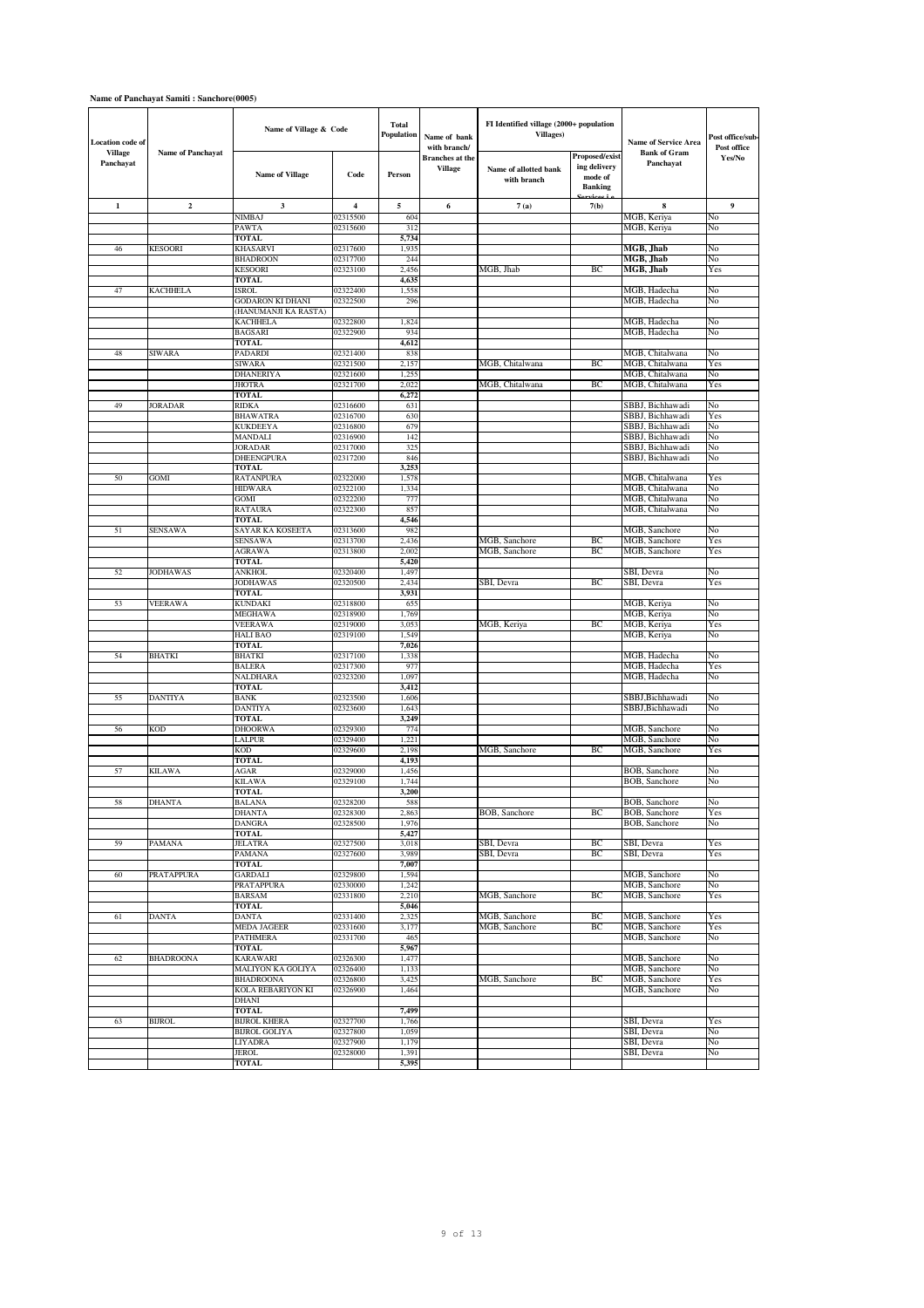## **Name of Panchayat Samiti : Sanchore(0005)**

| <b>Location</b> code of     |                   | Name of Village & Code                      |                         | Total<br>Population | Name of bank<br>with branch/             | FI Identified village (2000+ population<br>Villages) |                                                             | <b>Name of Service Area</b>          | Post office/sub-<br>Post office |
|-----------------------------|-------------------|---------------------------------------------|-------------------------|---------------------|------------------------------------------|------------------------------------------------------|-------------------------------------------------------------|--------------------------------------|---------------------------------|
| <b>Village</b><br>Panchayat | Name of Panchayat | <b>Name of Village</b>                      | Code                    | Person              | <b>Branches</b> at the<br><b>Village</b> | Name of allotted bank<br>with branch                 | Proposed/exist<br>ing delivery<br>mode of<br><b>Banking</b> | <b>Bank of Gram</b><br>Panchayat     | Yes/No                          |
| $\mathbf 1$                 | $\mathbf 2$       | $\mathbf{3}$                                | $\overline{\mathbf{4}}$ | 5                   | 6                                        | 7(a)                                                 | 7(b)                                                        | 8                                    | 9                               |
|                             |                   | NIMBAJ<br>PAWTA                             | 02315500<br>02315600    | 604<br>312          |                                          |                                                      |                                                             | MGB, Keriya<br>MGB, Keriya           | No<br>No                        |
|                             |                   | <b>TOTAL</b>                                |                         | 5,734               |                                          |                                                      |                                                             |                                      |                                 |
| 46                          | <b>KESOORI</b>    | KHASARVI                                    | 02317600                | 1,935               |                                          |                                                      |                                                             | MGB, Jhab                            | No                              |
|                             |                   | <b>BHADROON</b>                             | 02317700                | 244                 |                                          |                                                      |                                                             | MGB. Jhab                            | No                              |
|                             |                   | <b>KESOORI</b><br><b>TOTAL</b>              | 02323100                | 2,456<br>4,635      |                                          | MGB, Jhab                                            | ВC                                                          | MGB, Jhab                            | Yes                             |
| 47                          | <b>KACHHELA</b>   | ISROL                                       | 02322400                | 1,558               |                                          |                                                      |                                                             | MGB, Hadecha                         | No                              |
|                             |                   | GODARON KI DHANI                            | 02322500                | 296                 |                                          |                                                      |                                                             | MGB, Hadecha                         | No                              |
|                             |                   | (HANUMANJI KA RASTA)<br><b>KACHHELA</b>     | 02322800                | 1,824               |                                          |                                                      |                                                             | MGB, Hadecha                         | No                              |
|                             |                   | <b>BAGSARI</b>                              | 02322900                | 934                 |                                          |                                                      |                                                             | MGB, Hadecha                         | No                              |
|                             |                   | <b>TOTAL</b>                                |                         | 4,612               |                                          |                                                      |                                                             |                                      |                                 |
| 48                          | SIWARA            | PADARDI<br><b>SIWARA</b>                    | 02321400<br>02321500    | 838<br>2,157        |                                          | MGB, Chitalwana                                      | BC                                                          | MGB, Chitalwana<br>MGB, Chitalwana   | No<br>Yes                       |
|                             |                   | <b>DHANERIYA</b>                            | 02321600                | 1,255               |                                          |                                                      |                                                             | MGB, Chitalwana                      | No                              |
|                             |                   | JHOTRA                                      | 02321700                | 2,022               |                                          | MGB, Chitalwana                                      | BC                                                          | MGB, Chitalwana                      | Yes                             |
| 49                          | <b>JORADAR</b>    | <b>TOTAL</b><br><b>RIDKA</b>                | 02316600                | 6,272<br>631        |                                          |                                                      |                                                             | SBBJ, Bichhawadi                     | No                              |
|                             |                   | <b>BHAWATRA</b>                             | 02316700                | 630                 |                                          |                                                      |                                                             | SBBJ, Bichhawadi                     | Yes                             |
|                             |                   | KUKDEEYA                                    | 02316800                | 679                 |                                          |                                                      |                                                             | SBBJ, Bichhawadi                     | No                              |
|                             |                   | MANDALI                                     | 02316900                | 142<br>325          |                                          |                                                      |                                                             | SBBJ, Bichhawadi<br>SBBJ, Bichhawadi | No<br>No                        |
|                             |                   | <b>JORADAR</b><br><b>DHEENGPURA</b>         | 02317000<br>02317200    | 846                 |                                          |                                                      |                                                             | SBBJ, Bichhawadi                     | No                              |
|                             |                   | <b>TOTAL</b>                                |                         | 3,253               |                                          |                                                      |                                                             |                                      |                                 |
| 50                          | GOMI              | <b>RATANPURA</b>                            | 02322000<br>02322100    | 1,578<br>1,334      |                                          |                                                      |                                                             | MGB. Chitalwana                      | Yes                             |
|                             |                   | <b>HIDWARA</b><br>GOMI                      | 02322200                | 777                 |                                          |                                                      |                                                             | MGB, Chitalwana<br>MGB, Chitalwana   | No<br>No                        |
|                             |                   | RATAURA                                     | 02322300                | 857                 |                                          |                                                      |                                                             | MGB, Chitalwana                      | No                              |
|                             |                   | <b>TOTAL</b>                                |                         | 4,546               |                                          |                                                      |                                                             |                                      |                                 |
| 51                          | SENSAWA           | SAYAR KA KOSEETA<br>SENSAWA                 | 02313600<br>02313700    | 982<br>2,436        |                                          | MGB, Sanchore                                        | BC                                                          | MGB, Sanchore<br>MGB, Sanchore       | No<br>Yes                       |
|                             |                   | AGRAWA                                      | 02313800                | 2,002               |                                          | MGB, Sanchore                                        | BC                                                          | MGB, Sanchore                        | Yes                             |
|                             |                   | <b>TOTAL</b>                                |                         | 5,420               |                                          |                                                      |                                                             |                                      |                                 |
| 52                          | JODHAWAS          | ANKHOL<br><b>JODHAWAS</b>                   | 02320400<br>02320500    | 1,497<br>2,434      |                                          | SBI, Devra                                           | BC                                                          | SBI, Devra<br>SBI, Devra             | No<br>Yes                       |
|                             |                   | <b>TOTAL</b>                                |                         | 3,931               |                                          |                                                      |                                                             |                                      |                                 |
| 53                          | VEERAWA           | KUNDAKI                                     | 02318800                | 655                 |                                          |                                                      |                                                             | MGB, Keriya                          | No                              |
|                             |                   | MEGHAWA<br><b>VEERAWA</b>                   | 02318900<br>02319000    | 1,769<br>3,053      |                                          | MGB, Keriya                                          | BC                                                          | MGB, Keriya<br>MGB, Keriya           | No<br>Yes                       |
|                             |                   | <b>HALI BAO</b>                             | 02319100                | 1,549               |                                          |                                                      |                                                             | MGB, Keriya                          | No                              |
|                             |                   | <b>TOTAL</b>                                |                         | 7,026               |                                          |                                                      |                                                             |                                      |                                 |
| 54                          | <b>BHATKI</b>     | <b>BHATKI</b><br><b>BALERA</b>              | 02317100<br>02317300    | 1,338<br>977        |                                          |                                                      |                                                             | MGB, Hadecha<br>MGB, Hadecha         | No<br>Yes                       |
|                             |                   | NALDHARA                                    | 02323200                | 1,097               |                                          |                                                      |                                                             | MGB, Hadecha                         | No                              |
|                             |                   | <b>TOTAL</b>                                |                         | 3,412               |                                          |                                                      |                                                             |                                      |                                 |
| 55                          | <b>DANTIYA</b>    | <b>BANK</b><br><b>DANTIYA</b>               | 02323500<br>02323600    | 1,606<br>1,643      |                                          |                                                      |                                                             | SBBJ,Bichhawadi<br>SBBJ, Bichhawadi  | No<br>No                        |
|                             |                   | TOTAL                                       |                         | 3,249               |                                          |                                                      |                                                             |                                      |                                 |
| 56                          | KOD               | <b>DHOORWA</b>                              | 02329300                | 774                 |                                          |                                                      |                                                             | MGB, Sanchore                        | No                              |
|                             |                   | LALPUR<br><b>KOD</b>                        | 02329400<br>02329600    | 1,221<br>2,198      |                                          | MGB, Sanchore                                        | BC                                                          | MGB, Sanchore<br>MGB, Sanchore       | No<br>Yes                       |
|                             |                   | <b>TOTAL</b>                                |                         | 4,193               |                                          |                                                      |                                                             |                                      |                                 |
| 57                          | KILAWA            | AGAR                                        | 02329000<br>02329100    | 1,456<br>1,744      |                                          |                                                      |                                                             | BOB, Sanchore                        | No                              |
|                             |                   | KILAWA<br>TOTAL                             |                         | 3,200               |                                          |                                                      |                                                             | <b>BOB</b> , Sanchore                | No                              |
|                             | DHAN              | <b>RALAN</b>                                |                         | 588                 |                                          |                                                      |                                                             |                                      |                                 |
|                             |                   | DHANTA                                      | 02328300                | 2,863               |                                          | <b>BOB</b> , Sanchore                                | BC                                                          | <b>BOB</b> , Sanchore                | Yes                             |
|                             |                   | <b>DANGRA</b><br>TOTAL                      | 02328500                | 1,976<br>5,427      |                                          |                                                      |                                                             | BOB, Sanchore                        | No                              |
| 59                          | <b>PAMANA</b>     | <b>JELATRA</b>                              | 02327500                | 3,018               |                                          | SBI, Devra                                           | ВC                                                          | SBI, Devra                           | Yes                             |
|                             |                   | PAMANA<br><b>TOTAL</b>                      | 02327600                | 3,989<br>7,007      |                                          | SBI, Devra                                           | BC                                                          | SBI, Devra                           | Yes                             |
| 60                          | PRATAPPURA        | <b>GARDALI</b>                              | 02329800                | 1,594               |                                          |                                                      |                                                             | MGB, Sanchore                        | No                              |
|                             |                   | PRATAPPURA                                  | 02330000                | 1,242               |                                          |                                                      |                                                             | MGB, Sanchore                        | No                              |
|                             |                   | <b>BARSAM</b><br><b>TOTAL</b>               | 02331800                | 2,210<br>5,046      |                                          | MGB, Sanchore                                        | ВC                                                          | MGB, Sanchore                        | Yes                             |
| 61                          | <b>DANTA</b>      | DANTA                                       | 02331400                | 2,325               |                                          | MGB, Sanchore                                        | BC                                                          | MGB, Sanchore                        | Yes                             |
|                             |                   | <b>MEDA JAGEER</b>                          | 02331600                | 3,177               |                                          | MGB, Sanchore                                        | BC                                                          | MGB, Sanchore                        | Yes                             |
|                             |                   | <b>PATHMERA</b><br><b>TOTAL</b>             | 02331700                | 465<br>5,967        |                                          |                                                      |                                                             | MGB, Sanchore                        | No                              |
| 62                          | <b>BHADROONA</b>  | <b>KARAWARI</b>                             | 02326300                | 1,477               |                                          |                                                      |                                                             | MGB, Sanchore                        | No                              |
|                             |                   | MALIYON KA GOLIYA                           | 02326400                | 1,133               |                                          |                                                      |                                                             | MGB, Sanchore                        | No                              |
|                             |                   | <b>BHADROONA</b><br>KOLA REBARIYON KI       | 02326800<br>02326900    | 3,425<br>1,464      |                                          | MGB, Sanchore                                        | ВC                                                          | MGB, Sanchore<br>MGB, Sanchore       | Yes<br>No                       |
|                             |                   | DHANI                                       |                         |                     |                                          |                                                      |                                                             |                                      |                                 |
|                             |                   | <b>TOTAL</b>                                |                         | 7,499               |                                          |                                                      |                                                             |                                      |                                 |
| 63                          | <b>BIJROL</b>     | <b>BIJROL KHERA</b><br><b>BIJROL GOLIYA</b> | 02327700<br>02327800    | 1,766<br>1,059      |                                          |                                                      |                                                             | SBI, Devra<br>SBI, Devra             | Yes<br>No                       |
|                             |                   | LIYADRA                                     | 02327900                | 1,179               |                                          |                                                      |                                                             | SBI, Devra                           | No                              |
|                             |                   | JEROL                                       | 02328000                | 1,391               |                                          |                                                      |                                                             | SBI, Devra                           | No                              |
|                             |                   | <b>TOTAL</b>                                |                         | 5,395               |                                          |                                                      |                                                             |                                      |                                 |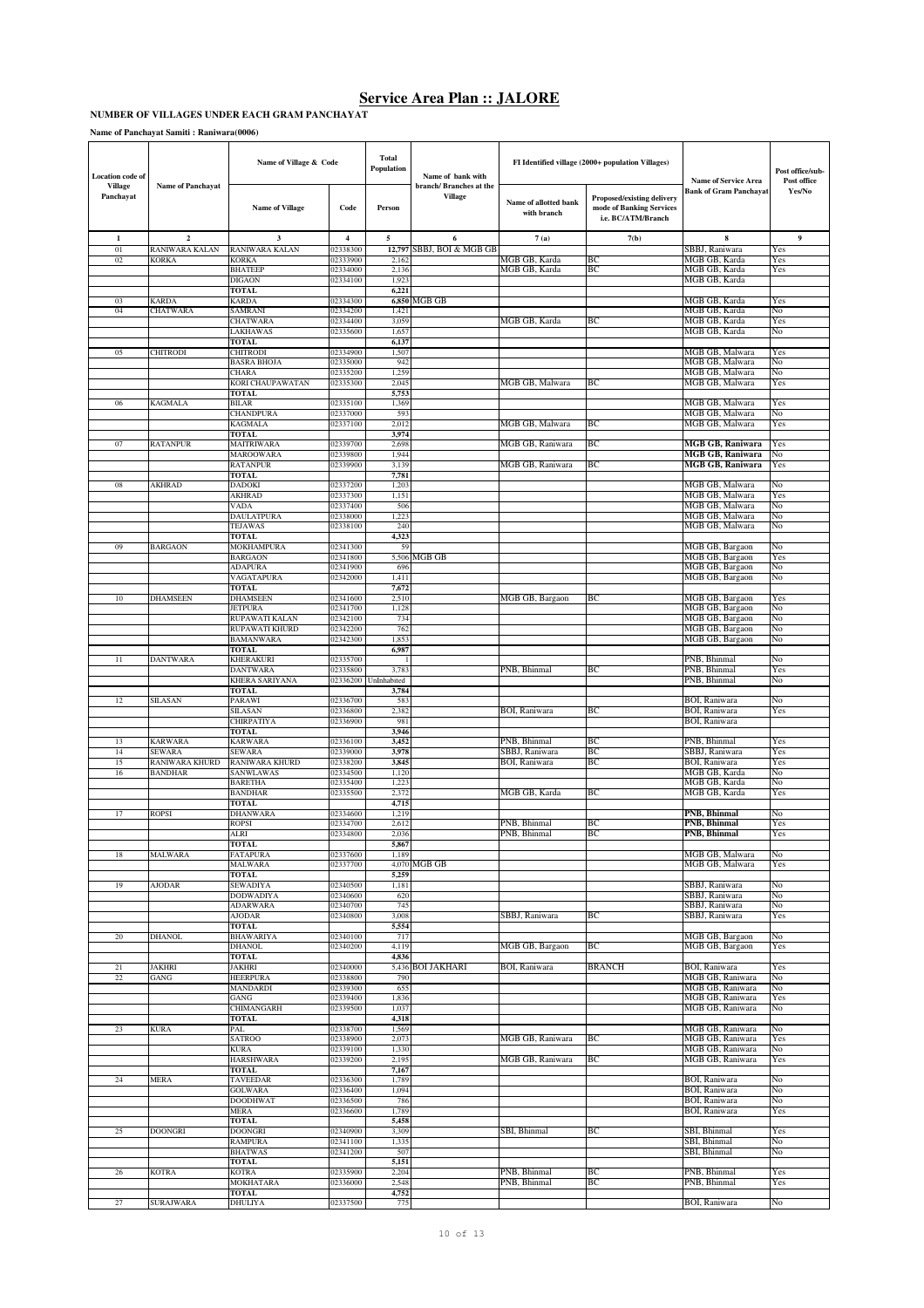### **NUMBER OF VILLAGES UNDER EACH GRAM PANCHAYAT**

**Name of Panchayat Samiti : Raniwara(0006)**

| Location code of            |                                 | Name of Village & Code              |                      | Total<br>Population  | Name of bank with                        |                                      | FI Identified village (2000+ population Villages)                            | <b>Name of Service Area</b>            | Post office/sub-<br>Post office |
|-----------------------------|---------------------------------|-------------------------------------|----------------------|----------------------|------------------------------------------|--------------------------------------|------------------------------------------------------------------------------|----------------------------------------|---------------------------------|
| <b>Village</b><br>Panchayat | <b>Name of Panchayat</b>        | <b>Name of Village</b>              | Code                 | Person               | branch/Branches at the<br><b>Village</b> | Name of allotted bank<br>with branch | Proposed/existing delivery<br>mode of Banking Services<br>i.e. BC/ATM/Branch | Bank of Gram Panchayat                 | Yes/No                          |
| $\mathbf{1}$                | $\overline{2}$                  | 3                                   | $\overline{4}$       | 5                    | 6                                        | 7(a)                                 | 7(b)                                                                         | 8                                      | 9                               |
| 01<br>02                    | RANIWARA KALAN<br><b>KORKA</b>  | RANIWARA KALAN<br>KORKA             | 02338300<br>02333900 | 2,162                | 12,797 SBBJ, BOI & MGB GB                | MGB GB, Karda                        | ВC                                                                           | SBBJ, Raniwara<br>MGB GB, Karda        | Yes<br>Yes                      |
|                             |                                 | <b>BHATEEP</b>                      | 02334000             | 2,136                |                                          | MGB GB, Karda                        | BС                                                                           | MGB GB, Karda                          | Yes                             |
|                             |                                 | <b>DIGAON</b>                       | 02334100             | 1,923                |                                          |                                      |                                                                              | MGB GB, Karda                          |                                 |
| 03                          | KARDA                           | <b>TOTAL</b><br>KARDA               | 02334300             | 6,221                | 6,850 MGB GB                             |                                      |                                                                              | MGB GB, Karda                          | Yes                             |
| 04                          | <b>CHATWARA</b>                 | SAMRANI                             | 02334200             | 1,421                |                                          |                                      |                                                                              | MGB GB, Karda                          | No                              |
|                             |                                 | CHATWARA                            | 02334400             | 3,059                |                                          | MGB GB, Karda                        | BС                                                                           | MGB GB, Karda                          | Yes                             |
|                             |                                 | LAKHAWAS<br><b>TOTAL</b>            | 02335600             | 1,657<br>6,137       |                                          |                                      |                                                                              | MGB GB, Karda                          | No                              |
| 05                          | <b>CHITRODI</b>                 | CHITRODI                            | 02334900             | 1,507                |                                          |                                      |                                                                              | MGB GB, Malwara                        | Yes                             |
|                             |                                 | <b>BASRA BHOJA</b>                  | 02335000             | 942                  |                                          |                                      |                                                                              | MGB GB, Malwara                        | No                              |
|                             |                                 | <b>CHARA</b><br>KORI CHAUPAWATAN    | 02335200<br>02335300 | 1,259<br>2,045       |                                          | MGB GB, Malwara                      | BС                                                                           | MGB GB, Malwara<br>MGB GB, Malwara     | No<br>Yes                       |
|                             |                                 | <b>TOTAL</b>                        |                      | 5,753                |                                          |                                      |                                                                              |                                        |                                 |
| 06                          | <b>KAGMALA</b>                  | <b>BILAR</b><br>CHANDPURA           | 02335100<br>02337000 | 1,369<br>593         |                                          |                                      |                                                                              | MGB GB, Malwara<br>MGB GB, Malwara     | Yes<br>No                       |
|                             |                                 | KAGMALA                             | 02337100             | 2,012                |                                          | MGB GB, Malwara                      | BС                                                                           | MGB GB, Malwara                        | Yes                             |
|                             |                                 | TOTAL                               |                      | 3,974                |                                          |                                      |                                                                              |                                        |                                 |
| 07                          | <b>RATANPUR</b>                 | MAITRIWARA<br>MAROOWARA             | 02339700<br>02339800 | 2,698<br>1,944       |                                          | MGB GB, Raniwara                     | ВC                                                                           | MGB GB, Raniwara<br>MGB GB, Raniwara   | Yes<br>No                       |
|                             |                                 | RATANPUR                            | 02339900             | 3,139                |                                          | MGB GB. Raniwara                     | ВC                                                                           | MGB GB, Raniwara                       | Yes                             |
|                             |                                 | TOTAL                               |                      | 7,781                |                                          |                                      |                                                                              |                                        |                                 |
| 08                          | <b>AKHRAD</b>                   | <b>DADOKI</b><br>AKHRAD             | 02337200<br>02337300 | 1,203<br>1,151       |                                          |                                      |                                                                              | MGB GB, Malwara<br>MGB GB, Malwara     | No<br>Yes                       |
|                             |                                 | VADA                                | 02337400             | 506                  |                                          |                                      |                                                                              | MGB GB, Malwara                        | No                              |
|                             |                                 | DAULATPURA                          | 02338000             | 1,223                |                                          |                                      |                                                                              | MGB GB, Malwara                        | No                              |
|                             |                                 | TEJAWAS<br>TOTAL                    | 02338100             | 240<br>4,323         |                                          |                                      |                                                                              | MGB GB, Malwara                        | No                              |
| 09                          | <b>BARGAON</b>                  | MOKHAMPURA                          | 02341300             | 59                   |                                          |                                      |                                                                              | MGB GB, Bargaon                        | No                              |
|                             |                                 | BARGAON<br>ADAPURA                  | 02341800<br>02341900 | 5,506<br>696         | MGB GB                                   |                                      |                                                                              | MGB GB, Bargaon<br>MGB GB, Bargaon     | Yes<br>No                       |
|                             |                                 | VAGATAPURA                          | 02342000             | 1,411                |                                          |                                      |                                                                              | MGB GB, Bargaon                        | No                              |
|                             |                                 | TOTAL                               |                      | 7,672                |                                          |                                      |                                                                              |                                        |                                 |
| 10                          | <b>DHAMSEEN</b>                 | <b>DHAMSEEN</b><br><b>JETPURA</b>   | 02341600<br>02341700 | 2,510<br>1,128       |                                          | MGB GB, Bargaon                      | ВC                                                                           | MGB GB, Bargaon<br>MGB GB, Bargaon     | Yes<br>No                       |
|                             |                                 | RUPAWATI KALAN                      | 02342100             | 734                  |                                          |                                      |                                                                              | MGB GB, Bargaon                        | No                              |
|                             |                                 | RUPAWATI KHURD<br><b>BAMANWARA</b>  | 02342200             | 762<br>1,853         |                                          |                                      |                                                                              | MGB GB, Bargaon                        | No<br>No                        |
|                             |                                 | <b>TOTAL</b>                        | 02342300             | 6,987                |                                          |                                      |                                                                              | MGB GB, Bargaon                        |                                 |
| 11                          | <b>DANTWARA</b>                 | KHERAKURI                           | 02335700             |                      |                                          |                                      |                                                                              | PNB, Bhinmal                           | No                              |
|                             |                                 | <b>DANTWARA</b><br>KHERA SARIYANA   | 02335800<br>02336200 | 3,783<br>UnInhabited |                                          | PNB, Bhinmal                         | ВC                                                                           | PNB, Bhinmal<br>PNB, Bhinmal           | Yes<br>No                       |
|                             |                                 | TOTAL                               |                      | 3,784                |                                          |                                      |                                                                              |                                        |                                 |
| 12                          | <b>SILASAN</b>                  | PARAWI                              | 02336700             | 583                  |                                          |                                      |                                                                              | BOI, Raniwara                          | No                              |
|                             |                                 | SILASAN<br>CHIRPATIYA               | 02336800<br>02336900 | 2,382<br>981         |                                          | BOI, Raniwara                        | ВC                                                                           | <b>BOI</b> , Raniwara<br>BOI, Raniwara | Yes                             |
|                             |                                 | TOTAL                               |                      | 3,946                |                                          |                                      |                                                                              |                                        |                                 |
| 13<br>14                    | <b>KARWARA</b><br><b>SEWARA</b> | <b>KARWARA</b><br>SEWARA            | 02336100<br>02339000 | 3,452<br>3,978       |                                          | PNB, Bhinmal<br>SBBJ, Raniwara       | BС<br>ВC                                                                     | PNB, Bhinmal<br>SBBJ, Raniwara         | Yes<br>Yes                      |
| 15                          | RANIWARA KHURD                  | RANIWARA KHURD                      | 02338200             | 3,845                |                                          | BOI, Raniwara                        | ВC                                                                           | BOI, Raniwara                          | Yes                             |
| 16                          | <b>BANDHAR</b>                  | SANWLAWAS                           | 02334500             | 1,120                |                                          |                                      |                                                                              | MGB GB, Karda                          | No                              |
|                             |                                 | <b>BARETHA</b><br><b>BANDHAR</b>    | 02335400<br>02335500 | 1,223<br>2,372       |                                          | MGB GB, Karda                        | BС                                                                           | MGB GB, Karda<br>MGB GB, Karda         | No<br>Yes                       |
|                             |                                 | <b>TOTAL</b>                        |                      | 4,715                |                                          |                                      |                                                                              |                                        |                                 |
| 17                          | <b>ROPSI</b>                    | DHANWARA                            | 02334600<br>02334700 | 1,219                |                                          |                                      |                                                                              | PNB, Bhinmal                           | No                              |
|                             |                                 | ROPSI<br>ALRI                       | 02334800             | 2,612<br>2,036       |                                          | PNB, Bhinmal<br>PNB, Bhinmal         | ВC<br>BC                                                                     | PNB, Bhinmal<br>PNB, Bhinmal           | Yes<br>Yes                      |
|                             |                                 | TOTAL                               |                      | 5,867                |                                          |                                      |                                                                              |                                        |                                 |
| 18                          | <b>MALWARA</b>                  | FATAPURA                            | 02337600             | 1,189                | 4,070 MGB GB                             |                                      |                                                                              | MGB GB, Malwara<br>MGB GB, Malwara     | No                              |
|                             |                                 | MALWARA<br><b>TOTAL</b>             | 02337700             | 5,259                |                                          |                                      |                                                                              |                                        | Yes                             |
| 19                          | <b>AJODAR</b>                   | <b>SEWADIYA</b>                     | 02340500             | 1,181                |                                          |                                      |                                                                              | SBBJ, Raniwara                         | No                              |
|                             |                                 | <b>DODWADIYA</b><br><b>ADARWARA</b> | 02340600<br>02340700 | 620<br>745           |                                          |                                      |                                                                              | SBBJ, Raniwara<br>SBBJ, Raniwara       | No<br>No                        |
|                             |                                 | AJODAR                              | 02340800             | 3,008                |                                          | SBBJ, Raniwara                       | BC                                                                           | SBBJ, Raniwara                         | Yes                             |
| 20                          | <b>DHANOL</b>                   | <b>TOTAL</b><br><b>BHAWARIYA</b>    | 02340100             | 5,554<br>717         |                                          |                                      |                                                                              | MGB GB, Bargaon                        | No                              |
|                             |                                 | DHANOL                              | 02340200             | 4,119                |                                          | MGB GB, Bargaon                      | BC                                                                           | MGB GB, Bargaon                        | Yes                             |
|                             |                                 | <b>TOTAL</b>                        |                      | 4,836                |                                          |                                      |                                                                              |                                        |                                 |
| 21<br>22                    | <b>JAKHRI</b><br>GANG           | <b>JAKHRI</b><br><b>HEERPURA</b>    | 02340000<br>02338800 | 790                  | 5,436 BOI JAKHARI                        | BOI, Raniwara                        | <b>BRANCH</b>                                                                | BOI, Raniwara<br>MGB GB, Raniwara      | Yes<br>No                       |
|                             |                                 | MANDARDI                            | 02339300             | 655                  |                                          |                                      |                                                                              | MGB GB, Raniwara                       | No                              |
|                             |                                 | GANG<br>CHIMANGARH                  | 02339400<br>02339500 | 1,836<br>1,037       |                                          |                                      |                                                                              | MGB GB, Raniwara<br>MGB GB, Raniwara   | Yes<br>No                       |
|                             |                                 | TOTAL                               |                      | 4,318                |                                          |                                      |                                                                              |                                        |                                 |
| 23                          | <b>KURA</b>                     | PAL                                 | 02338700             | 1,569                |                                          |                                      |                                                                              | MGB GB, Raniwara                       | No                              |
|                             |                                 | SATROO<br>KURA                      | 02338900<br>02339100 | 2,073<br>1,330       |                                          | MGB GB, Raniwara                     | BС                                                                           | MGB GB, Raniwara<br>MGB GB, Raniwara   | Yes<br>No                       |
|                             |                                 | <b>HARSHWARA</b>                    | 02339200             | 2,195                |                                          | MGB GB, Raniwara                     | ВC                                                                           | MGB GB, Raniwara                       | Yes                             |
| 24                          | MERA                            | TOTAL<br><b>TAVEEDAR</b>            | 02336300             | 7,167<br>1,789       |                                          |                                      |                                                                              | BOI, Raniwara                          | No                              |
|                             |                                 | <b>GOLWARA</b>                      | 02336400             | 1,094                |                                          |                                      |                                                                              | BOI, Raniwara                          | No                              |
|                             |                                 | <b>DOODHWAT</b>                     | 02336500             | 786                  |                                          |                                      |                                                                              | <b>BOI</b> , Raniwara                  | No                              |
|                             |                                 | MERA<br>TOTAL                       | 02336600             | 1,789<br>5,458       |                                          |                                      |                                                                              | BOI, Raniwara                          | Yes                             |
| 25                          | <b>DOONGRI</b>                  | <b>DOONGRI</b>                      | 02340900             | 3,309                |                                          | SBI, Bhinmal                         | BC                                                                           | SBI, Bhinmal                           | Yes                             |
|                             |                                 | RAMPURA<br><b>BHATWAS</b>           | 02341100             | 1,335<br>507         |                                          |                                      |                                                                              | SBI, Bhinmal                           | No<br>No                        |
|                             |                                 | <b>TOTAL</b>                        | 02341200             | 5,151                |                                          |                                      |                                                                              | SBI, Bhinmal                           |                                 |
| 26                          | <b>KOTRA</b>                    | <b>KOTRA</b>                        | 02335900             | 2,204                |                                          | PNB, Bhinmal                         | BC                                                                           | PNB, Bhinmal                           | Yes                             |
|                             |                                 | MOKHATARA<br><b>TOTAL</b>           | 02336000             | 2,548<br>4,752       |                                          | PNB, Bhinmal                         | BC                                                                           | PNB, Bhinmal                           | Yes                             |
| 27                          | <b>SURAJWARA</b>                | <b>DHULIYA</b>                      | 02337500             | 775                  |                                          |                                      |                                                                              | BOI, Raniwara                          | No                              |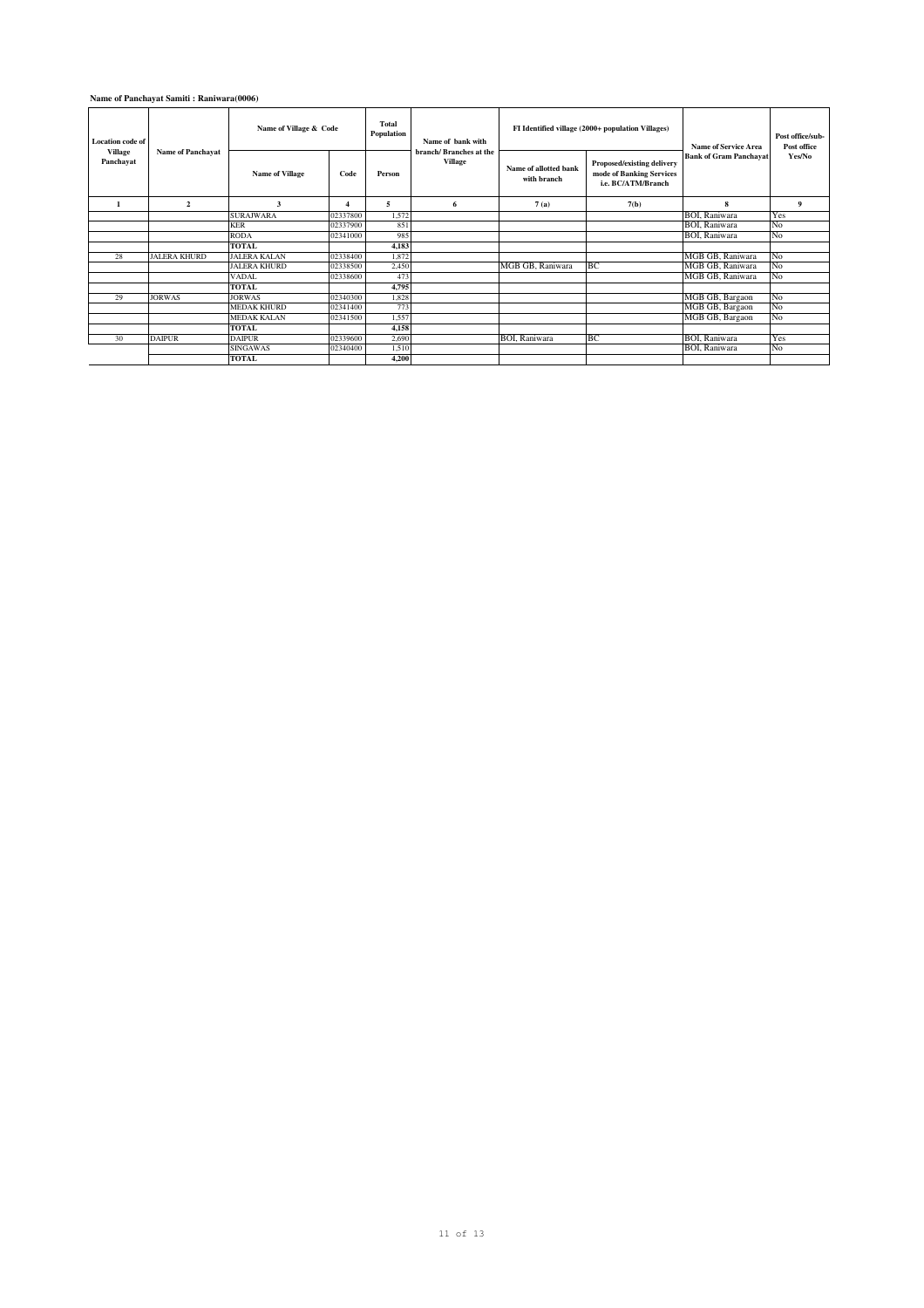# **Name of Panchayat Samiti : Raniwara(0006)**

| <b>Location</b> code of<br><b>Village</b><br>Panchayat | <b>Name of Panchayat</b> | Name of Village & Code |                         | Total<br>Population | Name of bank with<br>branch/Branches at the |                                      | FI Identified village (2000+ population Villages)                            | <b>Name of Service Area</b>   | Post office/sub-<br>Post office |
|--------------------------------------------------------|--------------------------|------------------------|-------------------------|---------------------|---------------------------------------------|--------------------------------------|------------------------------------------------------------------------------|-------------------------------|---------------------------------|
|                                                        |                          | <b>Name of Village</b> | Code                    | Person              | Village                                     | Name of allotted bank<br>with branch | Proposed/existing delivery<br>mode of Banking Services<br>i.e. BC/ATM/Branch | <b>Bank of Gram Panchayat</b> | Yes/No                          |
| 1                                                      | $\overline{2}$           | 3                      | $\overline{\mathbf{4}}$ | 5                   | 6                                           | 7(a)                                 | 7(b)                                                                         | 8                             | 9                               |
|                                                        |                          | <b>SURAJWARA</b>       | 02337800                | 1,572               |                                             |                                      |                                                                              | <b>BOI, Raniwara</b>          | Yes                             |
|                                                        |                          | <b>KER</b>             | 02337900                | 851                 |                                             |                                      |                                                                              | <b>BOI</b> , Raniwara         | No                              |
|                                                        |                          | <b>RODA</b>            | 02341000                | 985                 |                                             |                                      |                                                                              | <b>BOI</b> , Raniwara         | No                              |
|                                                        |                          | <b>TOTAL</b>           |                         | 4,183               |                                             |                                      |                                                                              |                               |                                 |
| 28                                                     | <b>JALERA KHURD</b>      | <b>JALERA KALAN</b>    | 02338400                | 1,872               |                                             |                                      |                                                                              | MGB GB, Raniwara              | No                              |
|                                                        |                          | <b>JALERA KHURD</b>    | 02338500                | 2,450               |                                             | MGB GB, Raniwara                     | BС                                                                           | MGB GB, Raniwara              | No                              |
|                                                        |                          | <b>VADAL</b>           | 02338600                | 473                 |                                             |                                      |                                                                              | MGB GB, Raniwara              | No                              |
|                                                        |                          | <b>TOTAL</b>           |                         | 4,795               |                                             |                                      |                                                                              |                               |                                 |
| 29                                                     | <b>JORWAS</b>            | <b>JORWAS</b>          | 02340300                | 1,828               |                                             |                                      |                                                                              | MGB GB, Bargaon               | No                              |
|                                                        |                          | <b>MEDAK KHURD</b>     | 02341400                | 773                 |                                             |                                      |                                                                              | MGB GB, Bargaon               | No                              |
|                                                        |                          | <b>MEDAK KALAN</b>     | 02341500                | 1,557               |                                             |                                      |                                                                              | MGB GB, Bargaon               | No                              |
|                                                        |                          | TOTAL                  |                         | 4,158               |                                             |                                      |                                                                              |                               |                                 |
| 30                                                     | <b>DAIPUR</b>            | <b>DAIPUR</b>          | 02339600                | 2,690               |                                             | <b>BOI, Raniwara</b>                 | BС                                                                           | BOI, Raniwara                 | Yes                             |
|                                                        |                          | <b>SINGAWAS</b>        | 02340400                | 1,510               |                                             |                                      |                                                                              | <b>BOI</b> , Raniwara         | No                              |
|                                                        |                          | <b>TOTAL</b>           |                         | 4,200               |                                             |                                      |                                                                              |                               |                                 |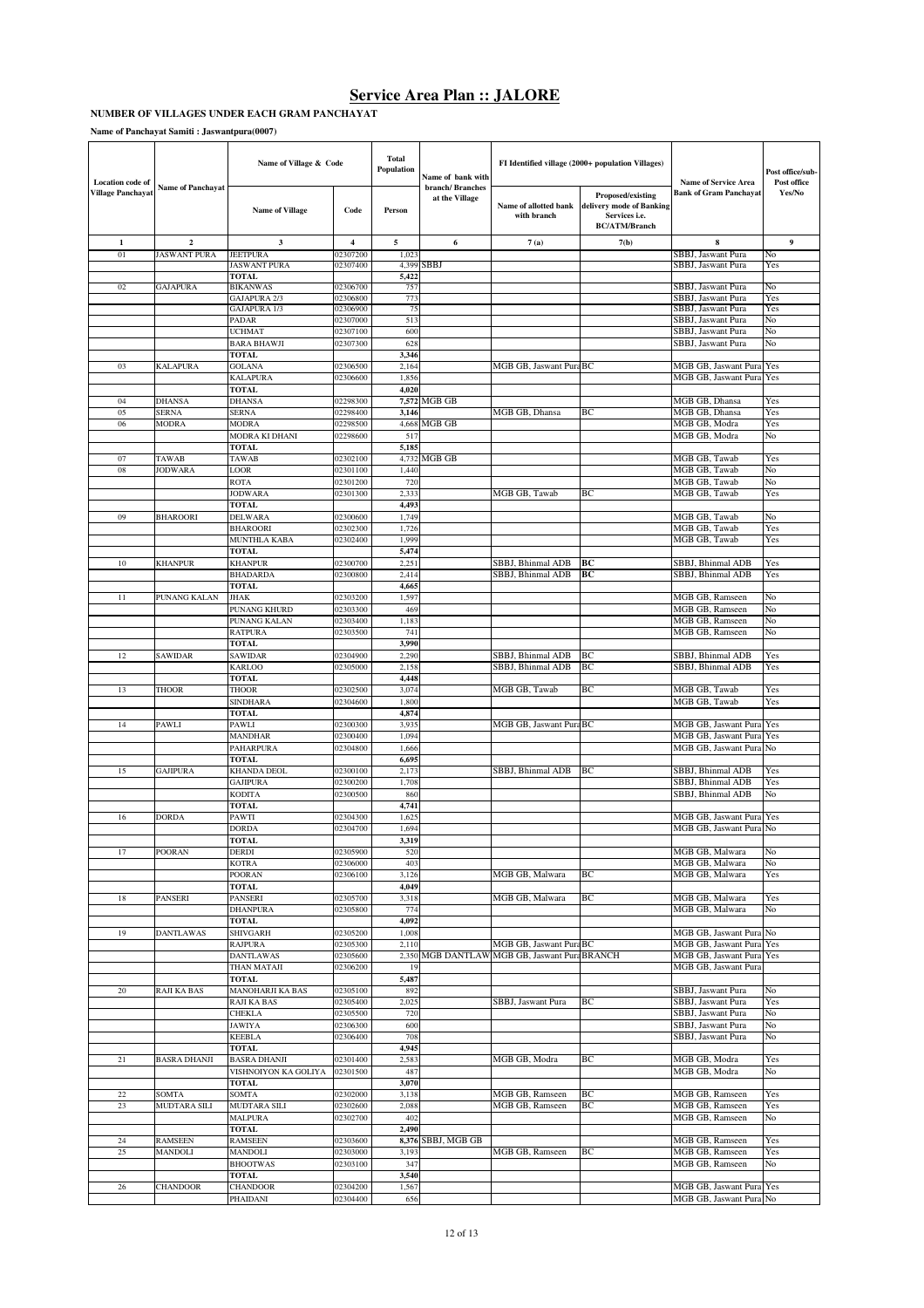**NUMBER OF VILLAGES UNDER EACH GRAM PANCHAYAT**

**Name of Panchayat Samiti : Jaswantpura(0007)**

| Location code of  |                              | Name of Village & Code              |                      | Total<br>Population | Name of bank with                 |                                               | FI Identified village (2000+ population Villages)                                      | <b>Name of Service Area</b>                      | Post office/sub-<br>Post office |
|-------------------|------------------------------|-------------------------------------|----------------------|---------------------|-----------------------------------|-----------------------------------------------|----------------------------------------------------------------------------------------|--------------------------------------------------|---------------------------------|
| Village Panchayat | <b>Name of Panchayat</b>     | <b>Name of Village</b>              | Code                 | Person              | branch/Branches<br>at the Village | Name of allotted bank<br>with branch          | Proposed/existing<br>delivery mode of Banking<br>Services i.e.<br><b>BC/ATM/Branch</b> | <b>Bank of Gram Panchayat</b>                    | Yes/No                          |
| 1                 | $\mathbf{2}$                 | 3                                   | 4                    | 5                   | 6                                 | 7(a)                                          | 7(b)                                                                                   | 8                                                | 9                               |
| 01                | ASWANT PURA                  | <b>JEETPURA</b>                     | 02307200             | 1,023               |                                   |                                               |                                                                                        | SBBJ, Jaswant Pura                               | No                              |
|                   |                              | <b>JASWANT PURA</b><br><b>TOTAL</b> | 02307400             | 4,399<br>5,422      | SBBJ                              |                                               |                                                                                        | SBBJ, Jaswant Pura                               | Yes                             |
| 02                | <b>GAJAPURA</b>              | <b>BIKANWAS</b>                     | 02306700             | 757                 |                                   |                                               |                                                                                        | SBBJ, Jaswant Pura                               | No                              |
|                   |                              | GAJAPURA 2/3                        | 02306800             | 773                 |                                   |                                               |                                                                                        | SBBJ, Jaswant Pura                               | Yes                             |
|                   |                              | <b>GAJAPURA 1/3</b>                 | 02306900             | 75                  |                                   |                                               |                                                                                        | SBBJ, Jaswant Pura                               | Yes                             |
|                   |                              | PADAR                               | 02307000<br>02307100 | 513<br>600          |                                   |                                               |                                                                                        | <b>SBBJ</b> . Jaswant Pura<br>SBBJ, Jaswant Pura | No<br>No                        |
|                   |                              | <b>UCHMAT</b><br><b>BARA BHAWJI</b> | 02307300             | 628                 |                                   |                                               |                                                                                        | SBBJ, Jaswant Pura                               | No                              |
|                   |                              | <b>TOTAL</b>                        |                      | 3,346               |                                   |                                               |                                                                                        |                                                  |                                 |
| 03                | <b>KALAPURA</b>              | <b>GOLANA</b>                       | 02306500             | 2,164               |                                   | MGB GB, Jaswant Pura BC                       |                                                                                        | MGB GB, Jaswant Pura                             | Yes                             |
|                   |                              | <b>KALAPURA</b>                     | 02306600             | 1,856               |                                   |                                               |                                                                                        | MGB GB, Jaswant Pura                             | Yes                             |
|                   |                              | <b>TOTAL</b>                        |                      | 4,020               |                                   |                                               |                                                                                        |                                                  |                                 |
| 04                | <b>DHANSA</b>                | DHANSA                              | 02298300             | 7,572               | MGB GB                            |                                               |                                                                                        | MGB GB, Dhansa                                   | Yes                             |
| 05<br>06          | <b>SERNA</b><br><b>MODRA</b> | <b>SERNA</b><br><b>MODRA</b>        | 02298400<br>02298500 | 3,146<br>4,668      | MGB GB                            | MGB GB, Dhansa                                | BC                                                                                     | MGB GB, Dhansa<br>MGB GB, Modra                  | Yes<br>Yes                      |
|                   |                              | MODRA KI DHANI                      | 02298600             | 517                 |                                   |                                               |                                                                                        | MGB GB, Modra                                    | No                              |
|                   |                              | <b>TOTAL</b>                        |                      | 5,185               |                                   |                                               |                                                                                        |                                                  |                                 |
| 07                | TAWAB                        | TAWAB                               | 02302100             | 4,732               | MGB GB                            |                                               |                                                                                        | MGB GB, Tawab                                    | Yes                             |
| 08                | <b>JODWARA</b>               | LOOR                                | 02301100             | 1,440               |                                   |                                               |                                                                                        | MGB GB, Tawab                                    | No                              |
|                   |                              | <b>ROTA</b>                         | 02301200             | 720                 |                                   |                                               |                                                                                        | MGB GB, Tawab                                    | No                              |
|                   |                              | <b>JODWARA</b>                      | 02301300             | 2,333               |                                   | MGB GB, Tawab                                 | BC                                                                                     | MGB GB, Tawab                                    | Yes                             |
| 09                | <b>BHAROORI</b>              | TOTAL<br>DELWARA                    | 02300600             | 4,493<br>1,749      |                                   |                                               |                                                                                        | MGB GB, Tawab                                    | No                              |
|                   |                              | <b>BHAROORI</b>                     | 02302300             | 1,726               |                                   |                                               |                                                                                        | MGB GB, Tawab                                    | Yes                             |
|                   |                              | MUNTHLA KABA                        | 02302400             | 1,999               |                                   |                                               |                                                                                        | MGB GB, Tawab                                    | Yes                             |
|                   |                              | <b>TOTAL</b>                        |                      | 5,474               |                                   |                                               |                                                                                        |                                                  |                                 |
| 10                | <b>KHANPUR</b>               | <b>KHANPUR</b>                      | 02300700             | 2,251               |                                   | SBBJ, Bhinmal ADB                             | BС                                                                                     | SBBJ, Bhinmal ADB                                | Yes                             |
|                   |                              | BHADARDA                            | 02300800             | 2,414               |                                   | SBBJ, Bhinmal ADB                             | BС                                                                                     | SBBJ, Bhinmal ADB                                | Yes                             |
|                   |                              | TOTAL                               |                      | 4,665               |                                   |                                               |                                                                                        |                                                  |                                 |
| 11                | PUNANG KALAN                 | JHAK<br>PUNANG KHURD                | 02303200<br>02303300 | 1,597<br>469        |                                   |                                               |                                                                                        | MGB GB, Ramseen<br>MGB GB, Ramseen               | No<br>No                        |
|                   |                              | PUNANG KALAN                        | 02303400             | 1,183               |                                   |                                               |                                                                                        | MGB GB, Ramseen                                  | No                              |
|                   |                              | <b>RATPURA</b>                      | 02303500             | 741                 |                                   |                                               |                                                                                        | MGB GB, Ramseen                                  | No                              |
|                   |                              | <b>TOTAL</b>                        |                      | 3,990               |                                   |                                               |                                                                                        |                                                  |                                 |
| 12                | SAWIDAR                      | SAWIDAR                             | 02304900             | 2,290               |                                   | SBBJ, Bhinmal ADB                             | BC                                                                                     | SBBJ, Bhinmal ADB                                | Yes                             |
|                   |                              | <b>KARLOO</b>                       | 02305000             | 2,158               |                                   | SBBJ, Bhinmal ADB                             | ВC                                                                                     | SBBJ, Bhinmal ADB                                | Yes                             |
|                   |                              | <b>TOTAL</b>                        |                      | 4,448               |                                   |                                               | ВC                                                                                     |                                                  |                                 |
| 13                | <b>THOOR</b>                 | THOOR<br><b>SINDHARA</b>            | 02302500<br>02304600 | 3,074<br>1,800      |                                   | MGB GB, Tawab                                 |                                                                                        | MGB GB, Tawab<br>MGB GB, Tawab                   | Yes<br>Yes                      |
|                   |                              | <b>TOTAL</b>                        |                      | 4,874               |                                   |                                               |                                                                                        |                                                  |                                 |
| 14                | PAWLI                        | PAWLI                               | 02300300             | 3,935               |                                   | MGB GB, Jaswant Pura BC                       |                                                                                        | MGB GB, Jaswant Pura                             | Yes                             |
|                   |                              | MANDHAR                             | 02300400             | 1,094               |                                   |                                               |                                                                                        | MGB GB, Jaswant Pura                             | Yes                             |
|                   |                              | PAHARPURA                           | 02304800             | 1,666               |                                   |                                               |                                                                                        | MGB GB, Jaswant Pura                             | No                              |
|                   |                              | TOTAL                               |                      | 6,695               |                                   |                                               |                                                                                        |                                                  |                                 |
| 15                | <b>GAJIPURA</b>              | KHANDA DEOL                         | 02300100             | 2,173               |                                   | SBBJ, Bhinmal ADB                             | <b>BC</b>                                                                              | SBBJ, Bhinmal ADB                                | Yes                             |
|                   |                              | <b>GAJIPURA</b><br><b>KODITA</b>    | 02300200<br>02300500 | 1,708<br>860        |                                   |                                               |                                                                                        | SBBJ, Bhinmal ADB<br>SBBJ, Bhinmal ADB           | Yes<br>No                       |
|                   |                              | <b>TOTAL</b>                        |                      | 4,741               |                                   |                                               |                                                                                        |                                                  |                                 |
| 16                | <b>DORDA</b>                 | PAWTI                               | 02304300             | 1,625               |                                   |                                               |                                                                                        | MGB GB, Jaswant Pura                             | Yes                             |
|                   |                              | DORDA                               | 02304700             | 1,694               |                                   |                                               |                                                                                        | MGB GB, Jaswant Pura                             | No                              |
|                   |                              | <b>TOTAI</b>                        |                      | 3,319               |                                   |                                               |                                                                                        |                                                  |                                 |
| 17                | POORAN                       | DERDI                               | 02305900             | 520                 |                                   |                                               |                                                                                        | MGB GB, Malwara                                  | No                              |
|                   |                              | KOTRA<br>POORAN                     | 02306000<br>02306100 | 403<br>3,126        |                                   | MGB GB, Malwara                               | BC                                                                                     | MGB GB, Malwara<br>MGB GB, Malwara               | No<br>Yes                       |
|                   |                              | TOTAL                               |                      | 4,049               |                                   |                                               |                                                                                        |                                                  |                                 |
| 18                | PANSERI                      | PANSERI                             | 02305700             | 3,318               |                                   | MGB GB, Malwara                               | BC                                                                                     | MGB GB, Malwara                                  | Yes                             |
|                   |                              | <b>DHANPURA</b>                     | 02305800             | 774                 |                                   |                                               |                                                                                        | MGB GB, Malwara                                  | No                              |
|                   |                              | <b>TOTAL</b>                        |                      | 4,092               |                                   |                                               |                                                                                        |                                                  |                                 |
| 19                | <b>DANTLAWAS</b>             | SHIVGARH                            | 02305200             | 1,008               |                                   | MGB GB, Jaswant Pura BC                       |                                                                                        | MGB GB, Jaswant Pura No                          |                                 |
|                   |                              | <b>RAJPURA</b><br><b>DANTLAWAS</b>  | 02305300<br>02305600 | 2,110               |                                   | 2,350 MGB DANTLAW MGB GB, Jaswant Pura BRANCH |                                                                                        | MGB GB, Jaswant Pura Yes<br>MGB GB, Jaswant Pura | Yes                             |
|                   |                              | THAN MATAJI                         | 02306200             | 19                  |                                   |                                               |                                                                                        | MGB GB, Jaswant Pura                             |                                 |
|                   |                              | TOTAL                               |                      | 5,487               |                                   |                                               |                                                                                        |                                                  |                                 |
| 20                | RAJI KA BAS                  | MANOHARJI KA BAS                    | 02305100             | 892                 |                                   |                                               |                                                                                        | SBBJ, Jaswant Pura                               | No                              |
|                   |                              | RAJI KA BAS                         | 02305400             | 2,025               |                                   | SBBJ, Jaswant Pura                            | BС                                                                                     | SBBJ, Jaswant Pura                               | Yes                             |
|                   |                              | <b>CHEKLA</b>                       | 02305500             | 720                 |                                   |                                               |                                                                                        | SBBJ, Jaswant Pura                               | No                              |
|                   |                              | JAWIYA<br><b>KEEBLA</b>             | 02306300<br>02306400 | 600<br>708          |                                   |                                               |                                                                                        | SBBJ, Jaswant Pura<br>SBBJ, Jaswant Pura         | No                              |
|                   |                              | <b>TOTAL</b>                        |                      | 4,945               |                                   |                                               |                                                                                        |                                                  | No                              |
| 21                | <b>BASRA DHANJI</b>          | <b>BASRA DHANJI</b>                 | 02301400             | 2,583               |                                   | MGB GB, Modra                                 | BC                                                                                     | MGB GB, Modra                                    | Yes                             |
|                   |                              | VISHNOIYON KA GOLIYA                | 02301500             | 487                 |                                   |                                               |                                                                                        | MGB GB, Modra                                    | No                              |
|                   |                              | <b>TOTAL</b>                        |                      | 3,070               |                                   |                                               |                                                                                        |                                                  |                                 |
| $22\,$            | <b>SOMTA</b>                 | SOMTA                               | 02302000             | 3,138               |                                   | MGB GB, Ramseen                               | BC                                                                                     | MGB GB, Ramseen                                  | Yes                             |
| 23                | MUDTARA SILI                 | MUDTARA SILI                        | 02302600             | 2,088               |                                   | MGB GB, Ramseen                               | BC                                                                                     | MGB GB, Ramseen                                  | Yes                             |
|                   |                              | <b>MALPURA</b><br><b>TOTAL</b>      | 02302700             | 402<br>2,490        |                                   |                                               |                                                                                        | MGB GB, Ramseen                                  | No                              |
| 24                | <b>RAMSEEN</b>               | RAMSEEN                             | 02303600             |                     | 8,376 SBBJ, MGB GB                |                                               |                                                                                        | MGB GB, Ramseen                                  | Yes                             |
| 25                | MANDOLI                      | MANDOLI                             | 02303000             | 3,193               |                                   | MGB GB, Ramseen                               | BC                                                                                     | MGB GB, Ramseen                                  | Yes                             |
|                   |                              | <b>BHOOTWAS</b>                     | 02303100             | 347                 |                                   |                                               |                                                                                        | MGB GB, Ramseen                                  | No                              |
|                   |                              | <b>TOTAL</b>                        |                      | 3,540               |                                   |                                               |                                                                                        |                                                  |                                 |
| 26                | <b>CHANDOOR</b>              | <b>CHANDOOR</b>                     | 02304200             | 1,567               |                                   |                                               |                                                                                        | MGB GB, Jaswant Pura Yes                         |                                 |
|                   |                              | PHAIDANI                            | 02304400             | 656                 |                                   |                                               |                                                                                        | MGB GB, Jaswant Pura No                          |                                 |